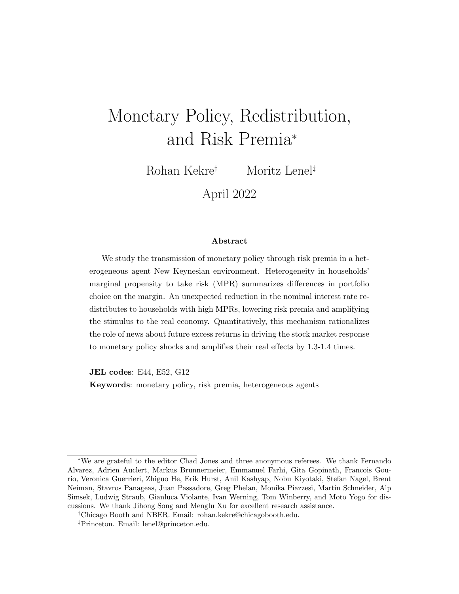# <span id="page-0-0"></span>Monetary Policy, Redistribution, and Risk Premia<sup>∗</sup>

Rohan Kekre† Moritz Lenel‡

April 2022

#### Abstract

We study the transmission of monetary policy through risk premia in a heterogeneous agent New Keynesian environment. Heterogeneity in households' marginal propensity to take risk (MPR) summarizes differences in portfolio choice on the margin. An unexpected reduction in the nominal interest rate redistributes to households with high MPRs, lowering risk premia and amplifying the stimulus to the real economy. Quantitatively, this mechanism rationalizes the role of news about future excess returns in driving the stock market response to monetary policy shocks and amplifies their real effects by 1.3-1.4 times.

JEL codes: E44, E52, G12

Keywords: monetary policy, risk premia, heterogeneous agents

<sup>∗</sup>We are grateful to the editor Chad Jones and three anonymous referees. We thank Fernando Alvarez, Adrien Auclert, Markus Brunnermeier, Emmanuel Farhi, Gita Gopinath, Francois Gourio, Veronica Guerrieri, Zhiguo He, Erik Hurst, Anil Kashyap, Nobu Kiyotaki, Stefan Nagel, Brent Neiman, Stavros Panageas, Juan Passadore, Greg Phelan, Monika Piazzesi, Martin Schneider, Alp Simsek, Ludwig Straub, Gianluca Violante, Ivan Werning, Tom Winberry, and Moto Yogo for discussions. We thank Jihong Song and Menglu Xu for excellent research assistance.

<sup>†</sup>Chicago Booth and NBER. Email: rohan.kekre@chicagobooth.edu.

<sup>‡</sup>Princeton. Email: lenel@princeton.edu.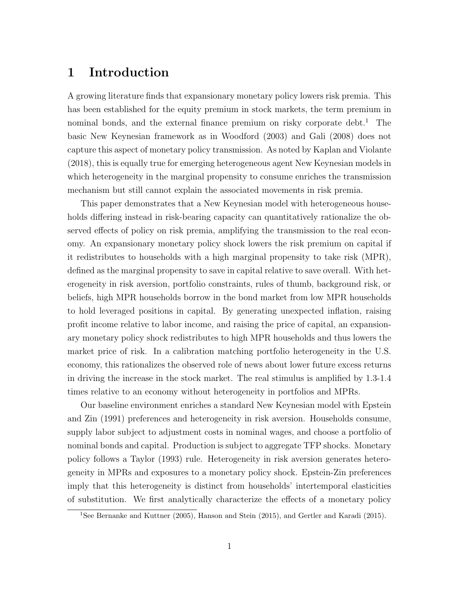# 1 Introduction

A growing literature finds that expansionary monetary policy lowers risk premia. This has been established for the equity premium in stock markets, the term premium in nominal bonds, and the external finance premium on risky corporate debt.<sup>1</sup> The basic New Keynesian framework as in [Woodford](#page-45-0) [\(2003\)](#page-45-0) and [Gali](#page-43-0) [\(2008\)](#page-43-0) does not capture this aspect of monetary policy transmission. As noted by [Kaplan and Violante](#page-44-0) [\(2018\)](#page-44-0), this is equally true for emerging heterogeneous agent New Keynesian models in which heterogeneity in the marginal propensity to consume enriches the transmission mechanism but still cannot explain the associated movements in risk premia.

This paper demonstrates that a New Keynesian model with heterogeneous households differing instead in risk-bearing capacity can quantitatively rationalize the observed effects of policy on risk premia, amplifying the transmission to the real economy. An expansionary monetary policy shock lowers the risk premium on capital if it redistributes to households with a high marginal propensity to take risk (MPR), defined as the marginal propensity to save in capital relative to save overall. With heterogeneity in risk aversion, portfolio constraints, rules of thumb, background risk, or beliefs, high MPR households borrow in the bond market from low MPR households to hold leveraged positions in capital. By generating unexpected inflation, raising profit income relative to labor income, and raising the price of capital, an expansionary monetary policy shock redistributes to high MPR households and thus lowers the market price of risk. In a calibration matching portfolio heterogeneity in the U.S. economy, this rationalizes the observed role of news about lower future excess returns in driving the increase in the stock market. The real stimulus is amplified by 1.3-1.4 times relative to an economy without heterogeneity in portfolios and MPRs.

Our baseline environment enriches a standard New Keynesian model with [Epstein](#page-43-1) [and Zin](#page-43-1) [\(1991\)](#page-43-1) preferences and heterogeneity in risk aversion. Households consume, supply labor subject to adjustment costs in nominal wages, and choose a portfolio of nominal bonds and capital. Production is subject to aggregate TFP shocks. Monetary policy follows a [Taylor](#page-45-1) [\(1993\)](#page-45-1) rule. Heterogeneity in risk aversion generates heterogeneity in MPRs and exposures to a monetary policy shock. Epstein-Zin preferences imply that this heterogeneity is distinct from households' intertemporal elasticities of substitution. We first analytically characterize the effects of a monetary policy

<sup>&</sup>lt;sup>1</sup>See [Bernanke and Kuttner](#page-41-0) [\(2005\)](#page-41-0), [Hanson and Stein](#page-43-2) [\(2015\)](#page-43-3), and [Gertler and Karadi](#page-43-3) (2015).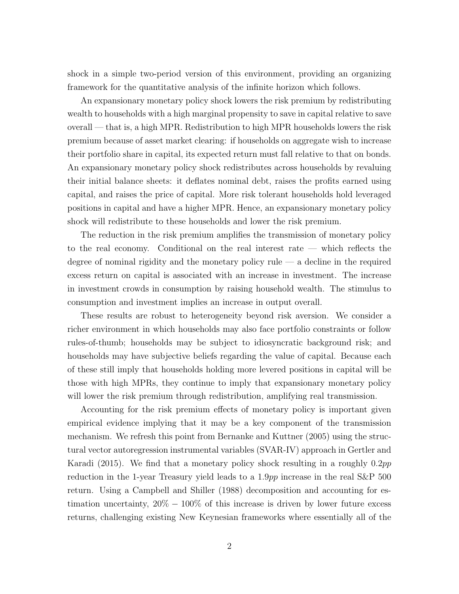shock in a simple two-period version of this environment, providing an organizing framework for the quantitative analysis of the infinite horizon which follows.

An expansionary monetary policy shock lowers the risk premium by redistributing wealth to households with a high marginal propensity to save in capital relative to save overall — that is, a high MPR. Redistribution to high MPR households lowers the risk premium because of asset market clearing: if households on aggregate wish to increase their portfolio share in capital, its expected return must fall relative to that on bonds. An expansionary monetary policy shock redistributes across households by revaluing their initial balance sheets: it deflates nominal debt, raises the profits earned using capital, and raises the price of capital. More risk tolerant households hold leveraged positions in capital and have a higher MPR. Hence, an expansionary monetary policy shock will redistribute to these households and lower the risk premium.

The reduction in the risk premium amplifies the transmission of monetary policy to the real economy. Conditional on the real interest rate — which reflects the degree of nominal rigidity and the monetary policy rule — a decline in the required excess return on capital is associated with an increase in investment. The increase in investment crowds in consumption by raising household wealth. The stimulus to consumption and investment implies an increase in output overall.

These results are robust to heterogeneity beyond risk aversion. We consider a richer environment in which households may also face portfolio constraints or follow rules-of-thumb; households may be subject to idiosyncratic background risk; and households may have subjective beliefs regarding the value of capital. Because each of these still imply that households holding more levered positions in capital will be those with high MPRs, they continue to imply that expansionary monetary policy will lower the risk premium through redistribution, amplifying real transmission.

Accounting for the risk premium effects of monetary policy is important given empirical evidence implying that it may be a key component of the transmission mechanism. We refresh this point from [Bernanke and Kuttner](#page-41-0) [\(2005\)](#page-41-0) using the structural vector autoregression instrumental variables (SVAR-IV) approach in [Gertler and](#page-43-3) [Karadi](#page-43-3) [\(2015\)](#page-43-3). We find that a monetary policy shock resulting in a roughly 0.2pp reduction in the 1-year Treasury yield leads to a 1.9pp increase in the real S&P 500 return. Using a [Campbell and Shiller](#page-42-0) [\(1988\)](#page-42-0) decomposition and accounting for estimation uncertainty,  $20\% - 100\%$  of this increase is driven by lower future excess returns, challenging existing New Keynesian frameworks where essentially all of the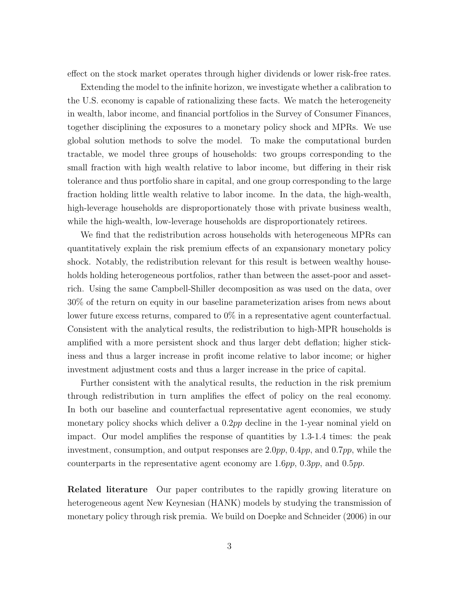effect on the stock market operates through higher dividends or lower risk-free rates.

Extending the model to the infinite horizon, we investigate whether a calibration to the U.S. economy is capable of rationalizing these facts. We match the heterogeneity in wealth, labor income, and financial portfolios in the Survey of Consumer Finances, together disciplining the exposures to a monetary policy shock and MPRs. We use global solution methods to solve the model. To make the computational burden tractable, we model three groups of households: two groups corresponding to the small fraction with high wealth relative to labor income, but differing in their risk tolerance and thus portfolio share in capital, and one group corresponding to the large fraction holding little wealth relative to labor income. In the data, the high-wealth, high-leverage households are disproportionately those with private business wealth, while the high-wealth, low-leverage households are disproportionately retirees.

We find that the redistribution across households with heterogeneous MPRs can quantitatively explain the risk premium effects of an expansionary monetary policy shock. Notably, the redistribution relevant for this result is between wealthy households holding heterogeneous portfolios, rather than between the asset-poor and assetrich. Using the same Campbell-Shiller decomposition as was used on the data, over 30% of the return on equity in our baseline parameterization arises from news about lower future excess returns, compared to 0% in a representative agent counterfactual. Consistent with the analytical results, the redistribution to high-MPR households is amplified with a more persistent shock and thus larger debt deflation; higher stickiness and thus a larger increase in profit income relative to labor income; or higher investment adjustment costs and thus a larger increase in the price of capital.

Further consistent with the analytical results, the reduction in the risk premium through redistribution in turn amplifies the effect of policy on the real economy. In both our baseline and counterfactual representative agent economies, we study monetary policy shocks which deliver a 0.2pp decline in the 1-year nominal yield on impact. Our model amplifies the response of quantities by 1.3-1.4 times: the peak investment, consumption, and output responses are  $2.0pp$ ,  $0.4pp$ , and  $0.7pp$ , while the counterparts in the representative agent economy are  $1.6pp$ ,  $0.3pp$ , and  $0.5pp$ .

Related literature Our paper contributes to the rapidly growing literature on heterogeneous agent New Keynesian (HANK) models by studying the transmission of monetary policy through risk premia. We build on [Doepke and Schneider](#page-42-1) [\(2006\)](#page-42-1) in our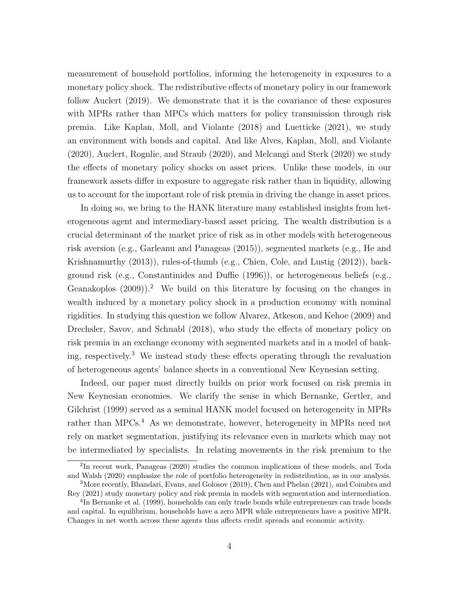measurement of household portfolios, informing the heterogeneity in exposures to a monetary policy shock. The redistributive effects of monetary policy in our framework follow [Auclert](#page-40-0) [\(2019\)](#page-40-0). We demonstrate that it is the covariance of these exposures with MPRs rather than MPCs which matters for policy transmission through risk premia. Like [Kaplan, Moll, and Violante](#page-44-1) [\(2018\)](#page-44-1) and [Luetticke](#page-44-2) [\(2021\)](#page-44-2), we study an environment with bonds and capital. And like [Alves, Kaplan, Moll, and Violante](#page-40-1) [\(2020\)](#page-40-1), [Auclert, Rognlie, and Straub](#page-40-2) [\(2020\)](#page-40-2), and [Melcangi and Sterk](#page-44-3) [\(2020\)](#page-44-3) we study the effects of monetary policy shocks on asset prices. Unlike these models, in our framework assets differ in exposure to aggregate risk rather than in liquidity, allowing us to account for the important role of risk premia in driving the change in asset prices.

In doing so, we bring to the HANK literature many established insights from heterogeneous agent and intermediary-based asset pricing. The wealth distribution is a crucial determinant of the market price of risk as in other models with heterogeneous risk aversion (e.g., [Garleanu and Panageas](#page-43-4) [\(2015\)](#page-43-4)), segmented markets (e.g., [He and](#page-44-4) [Krishnamurthy](#page-44-4) [\(2013\)](#page-44-4)), rules-of-thumb (e.g., [Chien, Cole, and Lustig](#page-42-2) [\(2012\)](#page-42-2)), background risk (e.g., [Constantinides and Duffie](#page-42-3) [\(1996\)](#page-42-3)), or heterogeneous beliefs (e.g., [Geanakoplos](#page-43-5)  $(2009)$ .<sup>2</sup> We build on this literature by focusing on the changes in wealth induced by a monetary policy shock in a production economy with nominal rigidities. In studying this question we follow [Alvarez, Atkeson, and Kehoe](#page-40-3) [\(2009\)](#page-40-3) and [Drechsler, Savov, and Schnabl](#page-42-4) [\(2018\)](#page-42-4), who study the effects of monetary policy on risk premia in an exchange economy with segmented markets and in a model of banking, respectively.<sup>3</sup> We instead study these effects operating through the revaluation of heterogeneous agents' balance sheets in a conventional New Keynesian setting.

Indeed, our paper most directly builds on prior work focused on risk premia in New Keynesian economies. We clarify the sense in which [Bernanke, Gertler, and](#page-41-1) [Gilchrist](#page-41-1) [\(1999\)](#page-41-1) served as a seminal HANK model focused on heterogeneity in MPRs rather than MPCs.<sup>4</sup> As we demonstrate, however, heterogeneity in MPRs need not rely on market segmentation, justifying its relevance even in markets which may not be intermediated by specialists. In relating movements in the risk premium to the

<sup>2</sup> In recent work, [Panageas](#page-44-5) [\(2020\)](#page-44-5) studies the common implications of these models, and [Toda](#page-45-2) [and Walsh](#page-45-2) [\(2020\)](#page-45-2) emphasize the role of portfolio heterogeneity in redistribution, as in our analysis.

<sup>3</sup>More recently, [Bhandari, Evans, and Golosov](#page-41-2) [\(2019\)](#page-41-2), [Chen and Phelan](#page-42-5) [\(2021\)](#page-42-5), and [Coimbra and](#page-42-6) [Rey](#page-42-6) [\(2021\)](#page-42-6) study monetary policy and risk premia in models with segmentation and intermediation.

<sup>&</sup>lt;sup>4</sup>In [Bernanke et al.](#page-41-1) [\(1999\)](#page-41-1), households can only trade bonds while entrepreneurs can trade bonds and capital. In equilibrium, households have a zero MPR while entrepreneurs have a positive MPR. Changes in net worth across these agents thus affects credit spreads and economic activity.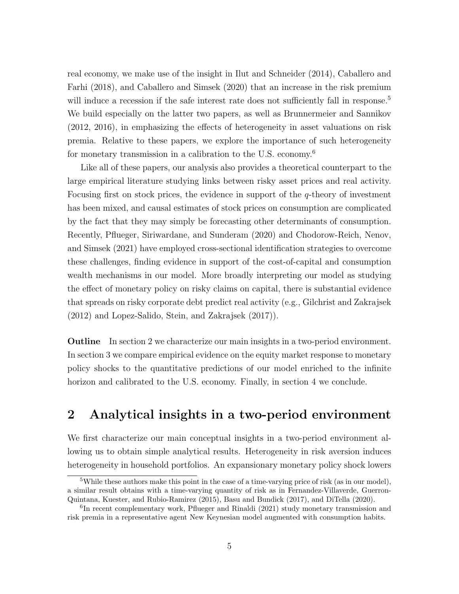real economy, we make use of the insight in [Ilut and Schneider](#page-44-6) [\(2014\)](#page-44-6), [Caballero and](#page-41-3) [Farhi](#page-41-3) [\(2018\)](#page-41-3), and [Caballero and Simsek](#page-41-4) [\(2020\)](#page-41-4) that an increase in the risk premium will induce a recession if the safe interest rate does not sufficiently fall in response.<sup>5</sup> We build especially on the latter two papers, as well as [Brunnermeier and Sannikov](#page-41-5) [\(2012,](#page-41-5) [2016\)](#page-41-6), in emphasizing the effects of heterogeneity in asset valuations on risk premia. Relative to these papers, we explore the importance of such heterogeneity for monetary transmission in a calibration to the U.S. economy.<sup>6</sup>

Like all of these papers, our analysis also provides a theoretical counterpart to the large empirical literature studying links between risky asset prices and real activity. Focusing first on stock prices, the evidence in support of the q-theory of investment has been mixed, and causal estimates of stock prices on consumption are complicated by the fact that they may simply be forecasting other determinants of consumption. Recently, [Pflueger, Siriwardane, and Sunderam](#page-45-3) [\(2020\)](#page-45-3) and [Chodorow-Reich, Nenov,](#page-42-7) [and Simsek](#page-42-7) [\(2021\)](#page-42-7) have employed cross-sectional identification strategies to overcome these challenges, finding evidence in support of the cost-of-capital and consumption wealth mechanisms in our model. More broadly interpreting our model as studying the effect of monetary policy on risky claims on capital, there is substantial evidence that spreads on risky corporate debt predict real activity (e.g., [Gilchrist and Zakrajsek](#page-43-6) [\(2012\)](#page-43-6) and [Lopez-Salido, Stein, and Zakrajsek](#page-44-7) [\(2017\)](#page-44-7)).

Outline In section [2](#page-5-0) we characterize our main insights in a two-period environment. In section [3](#page-16-0) we compare empirical evidence on the equity market response to monetary policy shocks to the quantitative predictions of our model enriched to the infinite horizon and calibrated to the U.S. economy. Finally, in section [4](#page-39-0) we conclude.

# <span id="page-5-0"></span>2 Analytical insights in a two-period environment

We first characterize our main conceptual insights in a two-period environment allowing us to obtain simple analytical results. Heterogeneity in risk aversion induces heterogeneity in household portfolios. An expansionary monetary policy shock lowers

<sup>&</sup>lt;sup>5</sup>While these authors make this point in the case of a time-varying price of risk (as in our model), a similar result obtains with a time-varying quantity of risk as in [Fernandez-Villaverde, Guerron-](#page-43-7)[Quintana, Kuester, and Rubio-Ramirez](#page-43-7) [\(2015\)](#page-43-7), [Basu and Bundick](#page-41-7) [\(2017\)](#page-41-7), and [DiTella](#page-42-8) [\(2020\)](#page-42-8).

<sup>&</sup>lt;sup>6</sup>In recent complementary work, [Pflueger and Rinaldi](#page-45-4) [\(2021\)](#page-45-4) study monetary transmission and risk premia in a representative agent New Keynesian model augmented with consumption habits.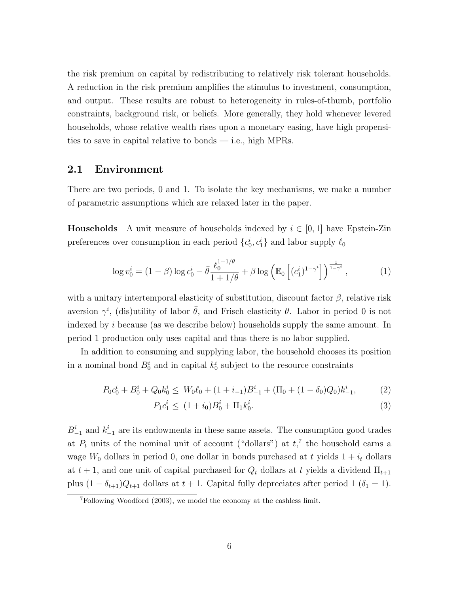the risk premium on capital by redistributing to relatively risk tolerant households. A reduction in the risk premium amplifies the stimulus to investment, consumption, and output. These results are robust to heterogeneity in rules-of-thumb, portfolio constraints, background risk, or beliefs. More generally, they hold whenever levered households, whose relative wealth rises upon a monetary easing, have high propensities to save in capital relative to bonds — i.e., high MPRs.

### <span id="page-6-3"></span>2.1 Environment

There are two periods, 0 and 1. To isolate the key mechanisms, we make a number of parametric assumptions which are relaxed later in the paper.

**Households** A unit measure of households indexed by  $i \in [0, 1]$  have Epstein-Zin preferences over consumption in each period  $\{c_0^i, c_1^i\}$  and labor supply  $\ell_0$ 

<span id="page-6-0"></span>
$$
\log v_0^i = (1 - \beta) \log c_0^i - \bar{\theta} \frac{\ell_0^{1+1/\theta}}{1 + 1/\theta} + \beta \log \left( \mathbb{E}_0 \left[ (c_1^i)^{1-\gamma^i} \right] \right)^{\frac{1}{1-\gamma^i}},\tag{1}
$$

with a unitary intertemporal elasticity of substitution, discount factor  $\beta$ , relative risk aversion  $\gamma^i$ , (dis)utility of labor  $\bar{\theta}$ , and Frisch elasticity  $\theta$ . Labor in period 0 is not indexed by i because (as we describe below) households supply the same amount. In period 1 production only uses capital and thus there is no labor supplied.

In addition to consuming and supplying labor, the household chooses its position in a nominal bond  $B_0^i$  and in capital  $k_0^i$  subject to the resource constraints

$$
P_0 c_0^i + B_0^i + Q_0 k_0^i \le W_0 \ell_0 + (1 + i_{-1}) B_{-1}^i + (\Pi_0 + (1 - \delta_0) Q_0) k_{-1}^i,
$$
 (2)

<span id="page-6-2"></span><span id="page-6-1"></span>
$$
P_1 c_1^i \le (1 + i_0) B_0^i + \Pi_1 k_0^i. \tag{3}
$$

 $B_{-1}^i$  and  $k_{-1}^i$  are its endowments in these same assets. The consumption good trades at  $P_t$  units of the nominal unit of account ("dollars") at  $t$ <sup>7</sup>, the household earns a wage  $W_0$  dollars in period 0, one dollar in bonds purchased at t yields  $1 + i_t$  dollars at  $t + 1$ , and one unit of capital purchased for  $Q_t$  dollars at t yields a dividend  $\Pi_{t+1}$ plus  $(1 - \delta_{t+1})Q_{t+1}$  dollars at  $t + 1$ . Capital fully depreciates after period 1 ( $\delta_1 = 1$ ).

<sup>7</sup>Following [Woodford](#page-45-0) [\(2003\)](#page-45-0), we model the economy at the cashless limit.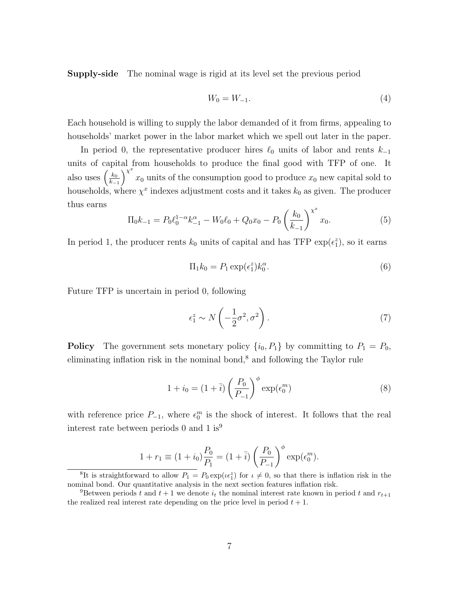Supply-side The nominal wage is rigid at its level set the previous period

<span id="page-7-1"></span>
$$
W_0 = W_{-1}.\tag{4}
$$

Each household is willing to supply the labor demanded of it from firms, appealing to households' market power in the labor market which we spell out later in the paper.

In period 0, the representative producer hires  $\ell_0$  units of labor and rents  $k_{-1}$ units of capital from households to produce the final good with TFP of one. It also uses  $\left(\frac{k_0}{k}\right)$  $_{k-1}$  $\lambda^x$  $x_0$  units of the consumption good to produce  $x_0$  new capital sold to households, where  $\chi^x$  indexes adjustment costs and it takes  $k_0$  as given. The producer thus earns x

<span id="page-7-2"></span>
$$
\Pi_0 k_{-1} = P_0 \ell_0^{1-\alpha} k_{-1}^{\alpha} - W_0 \ell_0 + Q_0 x_0 - P_0 \left(\frac{k_0}{k_{-1}}\right)^{\chi^x} x_0.
$$
\n
$$
\tag{5}
$$

In period 1, the producer rents  $k_0$  units of capital and has TFP  $\exp(\epsilon_1^2)$ , so it earns

<span id="page-7-3"></span>
$$
\Pi_1 k_0 = P_1 \exp(\epsilon_1^z) k_0^\alpha. \tag{6}
$$

Future TFP is uncertain in period 0, following

<span id="page-7-0"></span>
$$
\epsilon_1^z \sim N\left(-\frac{1}{2}\sigma^2, \sigma^2\right). \tag{7}
$$

**Policy** The government sets monetary policy  $\{i_0, P_1\}$  by committing to  $P_1 = P_0$ , eliminating inflation risk in the nominal bond,<sup>8</sup> and following the Taylor rule

<span id="page-7-4"></span>
$$
1 + i_0 = (1 + \overline{i}) \left(\frac{P_0}{P_{-1}}\right)^{\phi} \exp(\epsilon_0^m)
$$
\n
$$
(8)
$$

with reference price  $P_{-1}$ , where  $\epsilon_0^m$  is the shock of interest. It follows that the real interest rate between periods 0 and 1 is<sup>9</sup>

$$
1 + r_1 \equiv (1 + i_0) \frac{P_0}{P_1} = (1 + \bar{i}) \left(\frac{P_0}{P_{-1}}\right)^{\phi} \exp(\epsilon_0^m).
$$

<sup>&</sup>lt;sup>8</sup>It is straightforward to allow  $P_1 = P_0 \exp(\iota \epsilon_1^2)$  for  $\iota \neq 0$ , so that there is inflation risk in the nominal bond. Our quantitative analysis in the next section features inflation risk.

<sup>&</sup>lt;sup>9</sup>Between periods t and  $t + 1$  we denote  $i_t$  the nominal interest rate known in period t and  $r_{t+1}$ the realized real interest rate depending on the price level in period  $t + 1$ .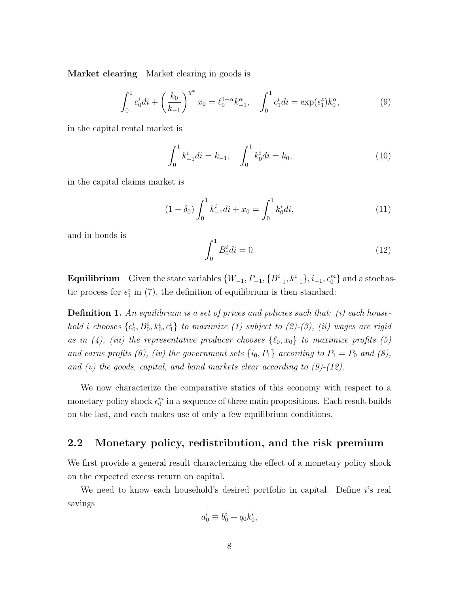Market clearing Market clearing in goods is

<span id="page-8-0"></span>
$$
\int_0^1 c_0^i di + \left(\frac{k_0}{k_{-1}}\right)^{\chi^x} x_0 = \ell_0^{1-\alpha} k_{-1}^{\alpha}, \quad \int_0^1 c_1^i di = \exp(\epsilon_1^z) k_0^{\alpha}, \tag{9}
$$

in the capital rental market is

<span id="page-8-2"></span>
$$
\int_0^1 k_{-1}^i di = k_{-1}, \quad \int_0^1 k_0^i di = k_0,\tag{10}
$$

in the capital claims market is

$$
(1 - \delta_0) \int_0^1 k_{-1}^i di + x_0 = \int_0^1 k_0^i di,
$$
\n(11)

and in bonds is

<span id="page-8-1"></span>
$$
\int_0^1 B_0^i di = 0.
$$
 (12)

**Equilibrium** Given the state variables  $\{W_{-1}, P_{-1}, \{B_{-1}^i, k_{-1}^i\}, i_{-1}, \epsilon_0^m\}$  and a stochastic process for  $\epsilon_1^z$  in [\(7\)](#page-7-0), the definition of equilibrium is then standard:

<span id="page-8-3"></span>**Definition 1.** An equilibrium is a set of prices and policies such that:  $(i)$  each household i chooses  $\{c_0^i, B_0^i, k_0^i, c_1^i\}$  to maximize [\(1\)](#page-6-0) subject to [\(2\)](#page-6-1)-[\(3\)](#page-6-2), (ii) wages are rigid as in [\(4\)](#page-7-1), (iii) the representative producer chooses  $\{0, x_0\}$  to maximize profits [\(5\)](#page-7-2) and earns profits [\(6\)](#page-7-3), (iv) the government sets  $\{i_0, P_1\}$  according to  $P_1 = P_0$  and [\(8\)](#page-7-4), and  $(v)$  the goods, capital, and bond markets clear according to  $(9)-(12)$  $(9)-(12)$  $(9)-(12)$ .

We now characterize the comparative statics of this economy with respect to a monetary policy shock  $\epsilon_0^m$  in a sequence of three main propositions. Each result builds on the last, and each makes use of only a few equilibrium conditions.

# 2.2 Monetary policy, redistribution, and the risk premium

We first provide a general result characterizing the effect of a monetary policy shock on the expected excess return on capital.

We need to know each household's desired portfolio in capital. Define  $i$ 's real savings

$$
a_0^i \equiv b_0^i + q_0 k_0^i,
$$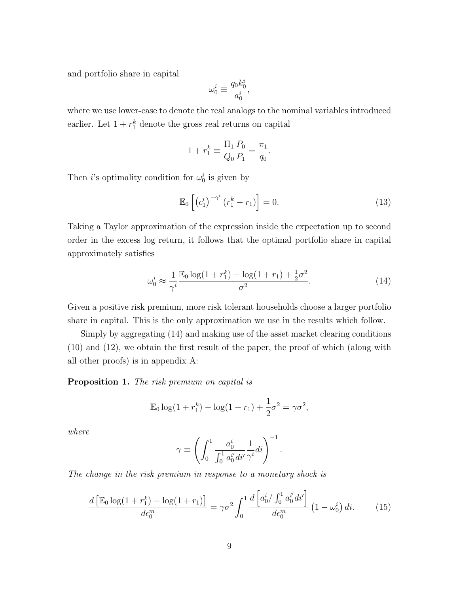and portfolio share in capital

$$
\omega_0^i \equiv \frac{q_0 k_0^i}{a_0^i},
$$

where we use lower-case to denote the real analogs to the nominal variables introduced earlier. Let  $1 + r_1^k$  denote the gross real returns on capital

$$
1 + r_1^k \equiv \frac{\Pi_1}{Q_0} \frac{P_0}{P_1} = \frac{\pi_1}{q_0}.
$$

Then *i*'s optimality condition for  $\omega_0^i$  is given by

<span id="page-9-2"></span>
$$
\mathbb{E}_0\left[\left(c_1^i\right)^{-\gamma^i}\left(r_1^k - r_1\right)\right] = 0.\tag{13}
$$

Taking a Taylor approximation of the expression inside the expectation up to second order in the excess log return, it follows that the optimal portfolio share in capital approximately satisfies

<span id="page-9-0"></span>
$$
\omega_0^i \approx \frac{1}{\gamma^i} \frac{\mathbb{E}_0 \log(1 + r_1^k) - \log(1 + r_1) + \frac{1}{2}\sigma^2}{\sigma^2}.
$$
 (14)

Given a positive risk premium, more risk tolerant households choose a larger portfolio share in capital. This is the only approximation we use in the results which follow.

Simply by aggregating [\(14\)](#page-9-0) and making use of the asset market clearing conditions [\(10\)](#page-8-2) and [\(12\)](#page-8-1), we obtain the first result of the paper, the proof of which (along with all other proofs) is in appendix [A:](#page-0-0)

<span id="page-9-1"></span>Proposition 1. The risk premium on capital is

$$
\mathbb{E}_0 \log(1 + r_1^k) - \log(1 + r_1) + \frac{1}{2}\sigma^2 = \gamma \sigma^2,
$$

where

$$
\gamma \equiv \left( \int_0^1 \frac{a_0^i}{\int_0^1 a_0^{i'} di'} \frac{1}{\gamma^i} di \right)^{-1}.
$$

The change in the risk premium in response to a monetary shock is

$$
\frac{d\left[\mathbb{E}_0 \log(1+r_1^k) - \log(1+r_1)\right]}{d\epsilon_0^m} = \gamma \sigma^2 \int_0^1 \frac{d\left[a_0^i / \int_0^1 a_0^{i'} dt'\right]}{d\epsilon_0^m} \left(1 - \omega_0^i\right) dt. \tag{15}
$$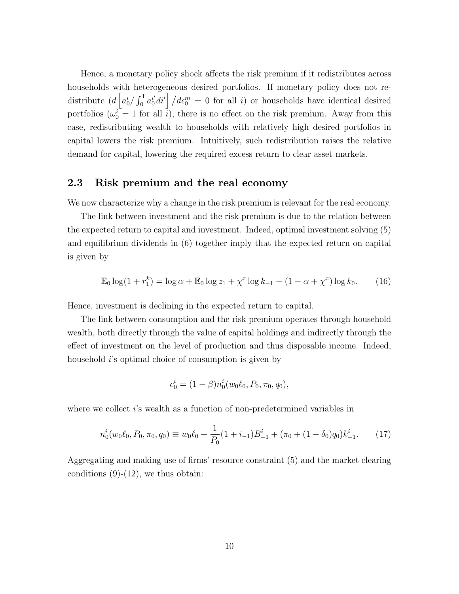Hence, a monetary policy shock affects the risk premium if it redistributes across households with heterogeneous desired portfolios. If monetary policy does not redistribute  $(d \left[a_0^i / \int_0^1 a_0^{i'} dt'\right] / d\epsilon_0^m = 0$  for all i) or households have identical desired portfolios  $(\omega_0^i = 1$  for all  $\overline{i})$ , there is no effect on the risk premium. Away from this case, redistributing wealth to households with relatively high desired portfolios in capital lowers the risk premium. Intuitively, such redistribution raises the relative demand for capital, lowering the required excess return to clear asset markets.

# 2.3 Risk premium and the real economy

We now characterize why a change in the risk premium is relevant for the real economy.

The link between investment and the risk premium is due to the relation between the expected return to capital and investment. Indeed, optimal investment solving [\(5\)](#page-7-2) and equilibrium dividends in [\(6\)](#page-7-3) together imply that the expected return on capital is given by

$$
\mathbb{E}_0 \log(1 + r_1^k) = \log \alpha + \mathbb{E}_0 \log z_1 + \chi^x \log k_{-1} - (1 - \alpha + \chi^x) \log k_0.
$$
 (16)

Hence, investment is declining in the expected return to capital.

The link between consumption and the risk premium operates through household wealth, both directly through the value of capital holdings and indirectly through the effect of investment on the level of production and thus disposable income. Indeed, household *i*'s optimal choice of consumption is given by

$$
c_0^i = (1 - \beta)n_0^i(w_0\ell_0, P_0, \pi_0, q_0),
$$

where we collect *i*'s wealth as a function of non-predetermined variables in

<span id="page-10-0"></span>
$$
n_0^i(w_0\ell_0, P_0, \pi_0, q_0) \equiv w_0\ell_0 + \frac{1}{P_0}(1 + i_{-1})B_{-1}^i + (\pi_0 + (1 - \delta_0)q_0)k_{-1}^i. \tag{17}
$$

Aggregating and making use of firms' resource constraint [\(5\)](#page-7-2) and the market clearing conditions  $(9)-(12)$  $(9)-(12)$  $(9)-(12)$ , we thus obtain: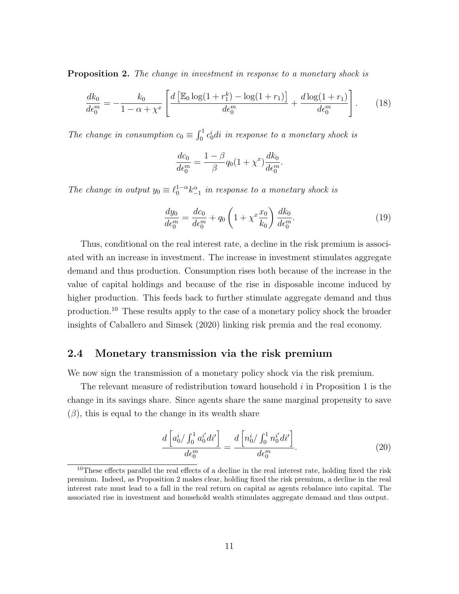<span id="page-11-0"></span>**Proposition 2.** The change in investment in response to a monetary shock is

$$
\frac{dk_0}{d\epsilon_0^m} = -\frac{k_0}{1 - \alpha + \chi^x} \left[ \frac{d \left[ \mathbb{E}_0 \log(1 + r_1^k) - \log(1 + r_1) \right]}{d\epsilon_0^m} + \frac{d \log(1 + r_1)}{d\epsilon_0^m} \right].
$$
 (18)

The change in consumption  $c_0 \equiv \int_0^1 c_0^i di$  in response to a monetary shock is

$$
\frac{dc_0}{d\epsilon_0^m} = \frac{1-\beta}{\beta}q_0(1+\chi^x)\frac{dk_0}{d\epsilon_0^m}.
$$

The change in output  $y_0 \equiv \ell_0^{1-\alpha} k_{-1}^{\alpha}$  in response to a monetary shock is

$$
\frac{dy_0}{d\epsilon_0^m} = \frac{dc_0}{d\epsilon_0^m} + q_0 \left(1 + \chi^x \frac{x_0}{k_0}\right) \frac{dk_0}{d\epsilon_0^m}.\tag{19}
$$

Thus, conditional on the real interest rate, a decline in the risk premium is associated with an increase in investment. The increase in investment stimulates aggregate demand and thus production. Consumption rises both because of the increase in the value of capital holdings and because of the rise in disposable income induced by higher production. This feeds back to further stimulate aggregate demand and thus production.<sup>10</sup> These results apply to the case of a monetary policy shock the broader insights of [Caballero and Simsek](#page-41-4) [\(2020\)](#page-41-4) linking risk premia and the real economy.

### <span id="page-11-1"></span>2.4 Monetary transmission via the risk premium

We now sign the transmission of a monetary policy shock via the risk premium.

The relevant measure of redistribution toward household  $i$  in Proposition [1](#page-9-1) is the change in its savings share. Since agents share the same marginal propensity to save  $(\beta)$ , this is equal to the change in its wealth share

$$
\frac{d\left[a_0^i / \int_0^1 a_0^{i'} dt'\right]}{d\epsilon_0^m} = \frac{d\left[n_0^i / \int_0^1 n_0^{i'} dt'\right]}{d\epsilon_0^m}.
$$
\n(20)

<sup>&</sup>lt;sup>10</sup>These effects parallel the real effects of a decline in the real interest rate, holding fixed the risk premium. Indeed, as Proposition [2](#page-11-0) makes clear, holding fixed the risk premium, a decline in the real interest rate must lead to a fall in the real return on capital as agents rebalance into capital. The associated rise in investment and household wealth stimulates aggregate demand and thus output.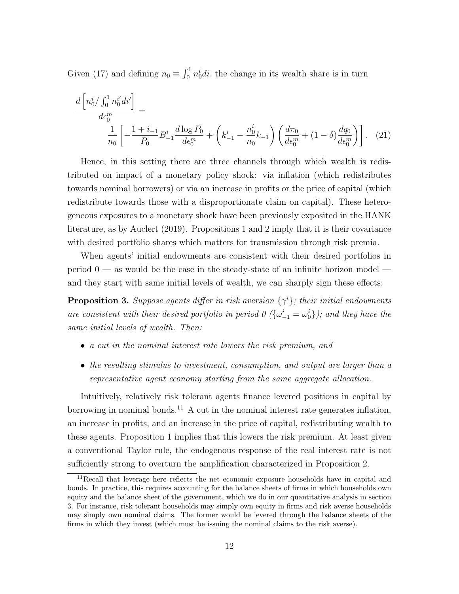Given [\(17\)](#page-10-0) and defining  $n_0 \equiv \int_0^1 n_0^i di$ , the change in its wealth share is in turn

<span id="page-12-1"></span>
$$
\frac{d\left[n_0^i / \int_0^1 n_0^{i'} dt'\right]}{d\epsilon_0^m} = \frac{1}{n_0} \left[ -\frac{1+i_{-1}}{P_0} B_{-1}^i \frac{d\log P_0}{d\epsilon_0^m} + \left(k_{-1}^i - \frac{n_0^i}{n_0} k_{-1}\right) \left(\frac{d\pi_0}{d\epsilon_0^m} + (1-\delta)\frac{dq_0}{d\epsilon_0^m}\right) \right].
$$
 (21)

Hence, in this setting there are three channels through which wealth is redistributed on impact of a monetary policy shock: via inflation (which redistributes towards nominal borrowers) or via an increase in profits or the price of capital (which redistribute towards those with a disproportionate claim on capital). These heterogeneous exposures to a monetary shock have been previously exposited in the HANK literature, as by [Auclert](#page-40-0) [\(2019\)](#page-40-0). Propositions [1](#page-9-1) and [2](#page-11-0) imply that it is their covariance with desired portfolio shares which matters for transmission through risk premia.

When agents' initial endowments are consistent with their desired portfolios in period  $0$  — as would be the case in the steady-state of an infinite horizon model and they start with same initial levels of wealth, we can sharply sign these effects:

<span id="page-12-0"></span>**Proposition 3.** Suppose agents differ in risk aversion  $\{\gamma^i\}$ ; their initial endowments are consistent with their desired portfolio in period  $0 \ (\{\omega_{-1}^i = \omega_0^i\})$ ; and they have the same initial levels of wealth. Then:

- a cut in the nominal interest rate lowers the risk premium, and
- the resulting stimulus to investment, consumption, and output are larger than a representative agent economy starting from the same aggregate allocation.

Intuitively, relatively risk tolerant agents finance levered positions in capital by borrowing in nominal bonds.<sup>11</sup> A cut in the nominal interest rate generates inflation, an increase in profits, and an increase in the price of capital, redistributing wealth to these agents. Proposition [1](#page-9-1) implies that this lowers the risk premium. At least given a conventional Taylor rule, the endogenous response of the real interest rate is not sufficiently strong to overturn the amplification characterized in Proposition [2.](#page-11-0)

 $11$ Recall that leverage here reflects the net economic exposure households have in capital and bonds. In practice, this requires accounting for the balance sheets of firms in which households own equity and the balance sheet of the government, which we do in our quantitative analysis in section [3.](#page-16-0) For instance, risk tolerant households may simply own equity in firms and risk averse households may simply own nominal claims. The former would be levered through the balance sheets of the firms in which they invest (which must be issuing the nominal claims to the risk averse).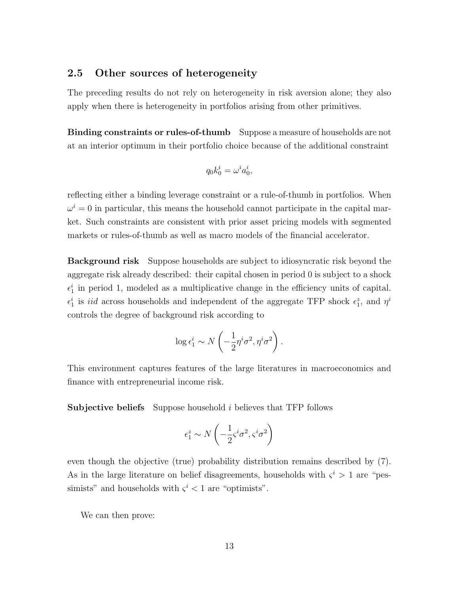# <span id="page-13-0"></span>2.5 Other sources of heterogeneity

The preceding results do not rely on heterogeneity in risk aversion alone; they also apply when there is heterogeneity in portfolios arising from other primitives.

Binding constraints or rules-of-thumb Suppose a measure of households are not at an interior optimum in their portfolio choice because of the additional constraint

$$
q_0k_0^i=\omega^ia_0^i,
$$

reflecting either a binding leverage constraint or a rule-of-thumb in portfolios. When  $\omega^i = 0$  in particular, this means the household cannot participate in the capital market. Such constraints are consistent with prior asset pricing models with segmented markets or rules-of-thumb as well as macro models of the financial accelerator.

Background risk Suppose households are subject to idiosyncratic risk beyond the aggregate risk already described: their capital chosen in period 0 is subject to a shock  $\epsilon_1^i$  in period 1, modeled as a multiplicative change in the efficiency units of capital.  $\epsilon_1^i$  is *iid* across households and independent of the aggregate TFP shock  $\epsilon_1^z$ , and  $\eta^i$ controls the degree of background risk according to

$$
\log \epsilon_1^i \sim N\left(-\frac{1}{2}\eta^i\sigma^2, \eta^i\sigma^2\right).
$$

This environment captures features of the large literatures in macroeconomics and finance with entrepreneurial income risk.

**Subjective beliefs** Suppose household  $i$  believes that TFP follows

$$
\epsilon_1^z \sim N\left(-\frac{1}{2}\varsigma^i \sigma^2, \varsigma^i \sigma^2\right)
$$

even though the objective (true) probability distribution remains described by [\(7\)](#page-7-0). As in the large literature on belief disagreements, households with  $\zeta^i > 1$  are "pessimists" and households with  $\zeta^i$  < 1 are "optimists".

We can then prove: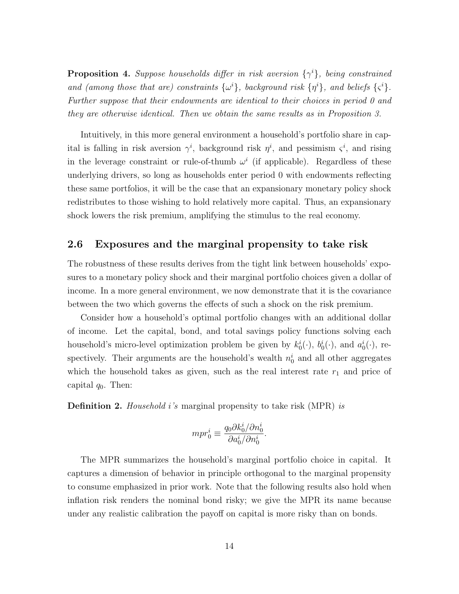**Proposition 4.** Suppose households differ in risk aversion  $\{\gamma^i\}$ , being constrained and (among those that are) constraints  $\{\omega^i\}$ , background risk  $\{\eta^i\}$ , and beliefs  $\{\varsigma^i\}$ . Further suppose that their endowments are identical to their choices in period 0 and they are otherwise identical. Then we obtain the same results as in Proposition [3.](#page-12-0)

Intuitively, in this more general environment a household's portfolio share in capital is falling in risk aversion  $\gamma^i$ , background risk  $\eta^i$ , and pessimism  $\zeta^i$ , and rising in the leverage constraint or rule-of-thumb  $\omega^i$  (if applicable). Regardless of these underlying drivers, so long as households enter period 0 with endowments reflecting these same portfolios, it will be the case that an expansionary monetary policy shock redistributes to those wishing to hold relatively more capital. Thus, an expansionary shock lowers the risk premium, amplifying the stimulus to the real economy.

# 2.6 Exposures and the marginal propensity to take risk

The robustness of these results derives from the tight link between households' exposures to a monetary policy shock and their marginal portfolio choices given a dollar of income. In a more general environment, we now demonstrate that it is the covariance between the two which governs the effects of such a shock on the risk premium.

Consider how a household's optimal portfolio changes with an additional dollar of income. Let the capital, bond, and total savings policy functions solving each household's micro-level optimization problem be given by  $k_0^i(\cdot)$ ,  $b_0^i(\cdot)$ , and  $a_0^i(\cdot)$ , respectively. Their arguments are the household's wealth  $n_0^i$  and all other aggregates which the household takes as given, such as the real interest rate  $r_1$  and price of capital  $q_0$ . Then:

**Definition 2.** Household i's marginal propensity to take risk (MPR) is

$$
mpr_0^i \equiv \frac{q_0 \partial k_0^i / \partial n_0^i}{\partial a_0^i / \partial n_0^i}.
$$

The MPR summarizes the household's marginal portfolio choice in capital. It captures a dimension of behavior in principle orthogonal to the marginal propensity to consume emphasized in prior work. Note that the following results also hold when inflation risk renders the nominal bond risky; we give the MPR its name because under any realistic calibration the payoff on capital is more risky than on bonds.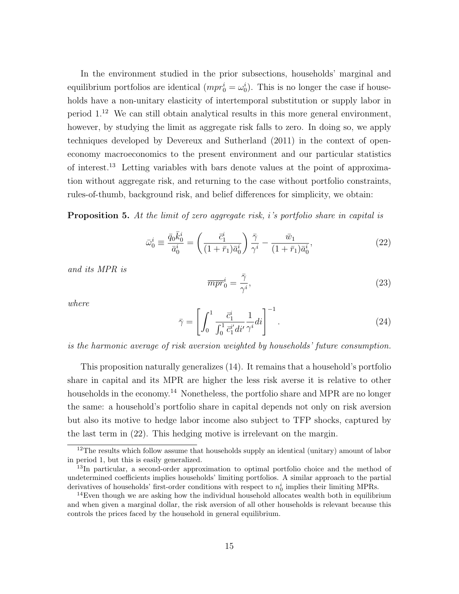In the environment studied in the prior subsections, households' marginal and equilibrium portfolios are identical  $(mpr_0^i = \omega_0^i)$ . This is no longer the case if households have a non-unitary elasticity of intertemporal substitution or supply labor in period 1.<sup>12</sup> We can still obtain analytical results in this more general environment, however, by studying the limit as aggregate risk falls to zero. In doing so, we apply techniques developed by [Devereux and Sutherland](#page-42-9) [\(2011\)](#page-42-9) in the context of openeconomy macroeconomics to the present environment and our particular statistics of interest.<sup>13</sup> Letting variables with bars denote values at the point of approximation without aggregate risk, and returning to the case without portfolio constraints, rules-of-thumb, background risk, and belief differences for simplicity, we obtain:

<span id="page-15-1"></span>**Proposition 5.** At the limit of zero aggregate risk, i's portfolio share in capital is

<span id="page-15-0"></span>
$$
\bar{\omega}_0^i \equiv \frac{\bar{q}_0 \bar{k}_0^i}{\bar{a}_0^i} = \left(\frac{\bar{c}_1^i}{(1+\bar{r}_1)\bar{a}_0^i}\right) \frac{\bar{\gamma}}{\gamma^i} - \frac{\bar{w}_1}{(1+\bar{r}_1)\bar{a}_0^i},\tag{22}
$$

and its MPR is

$$
\overline{mpr}_0^i = \frac{\overline{\gamma}}{\gamma^i},\tag{23}
$$

where

$$
\bar{\gamma} = \left[ \int_0^1 \frac{\bar{c}_1^i}{\int_0^1 \bar{c}_1^{i'} dt'} \frac{1}{\gamma^i} dt \right]^{-1}.
$$
\n(24)

is the harmonic average of risk aversion weighted by households' future consumption.

This proposition naturally generalizes [\(14\)](#page-9-0). It remains that a household's portfolio share in capital and its MPR are higher the less risk averse it is relative to other households in the economy.<sup>14</sup> Nonetheless, the portfolio share and MPR are no longer the same: a household's portfolio share in capital depends not only on risk aversion but also its motive to hedge labor income also subject to TFP shocks, captured by the last term in [\(22\)](#page-15-0). This hedging motive is irrelevant on the margin.

 $12$ The results which follow assume that households supply an identical (unitary) amount of labor in period 1, but this is easily generalized.

<sup>&</sup>lt;sup>13</sup>In particular, a second-order approximation to optimal portfolio choice and the method of undetermined coefficients implies households' limiting portfolios. A similar approach to the partial derivatives of households' first-order conditions with respect to  $n_0^i$  implies their limiting MPRs.

<sup>&</sup>lt;sup>14</sup>Even though we are asking how the individual household allocates wealth both in equilibrium and when given a marginal dollar, the risk aversion of all other households is relevant because this controls the prices faced by the household in general equilibrium.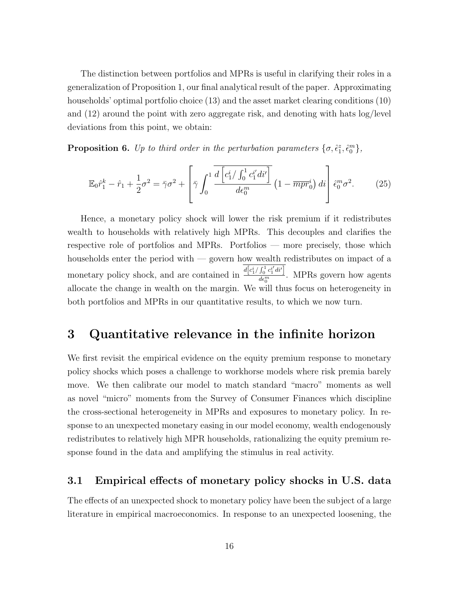The distinction between portfolios and MPRs is useful in clarifying their roles in a generalization of Proposition [1,](#page-9-1) our final analytical result of the paper. Approximating households' optimal portfolio choice [\(13\)](#page-9-2) and the asset market clearing conditions [\(10\)](#page-8-2) and [\(12\)](#page-8-1) around the point with zero aggregate risk, and denoting with hats log/level deviations from this point, we obtain:

**Proposition 6.** Up to third order in the perturbation parameters  $\{\sigma, \hat{\epsilon}_1^z, \hat{\epsilon}_0^m\}$ ,

$$
\mathbb{E}_0 \hat{r}_1^k - \hat{r}_1 + \frac{1}{2} \sigma^2 = \bar{\gamma} \sigma^2 + \left[ \bar{\gamma} \int_0^1 \frac{d \left[ c_1^i / \int_0^1 c_1^{i'} dt' \right]}{d \epsilon_0^m} \left( 1 - \overline{m} \overline{p} \overline{r}_0^i \right) dt \right] \hat{\epsilon}_0^m \sigma^2. \tag{25}
$$

Hence, a monetary policy shock will lower the risk premium if it redistributes wealth to households with relatively high MPRs. This decouples and clarifies the respective role of portfolios and MPRs. Portfolios — more precisely, those which households enter the period with — govern how wealth redistributes on impact of a monetary policy shock, and are contained in  $\frac{d[c_1^i / \int_0^1 c_1^{i'} dt']}{d\epsilon^m}$  $\frac{J_0 C_1 a t}{d \epsilon_0^m}$ . MPRs govern how agents allocate the change in wealth on the margin. We will thus focus on heterogeneity in both portfolios and MPRs in our quantitative results, to which we now turn.

# <span id="page-16-0"></span>3 Quantitative relevance in the infinite horizon

We first revisit the empirical evidence on the equity premium response to monetary policy shocks which poses a challenge to workhorse models where risk premia barely move. We then calibrate our model to match standard "macro" moments as well as novel "micro" moments from the Survey of Consumer Finances which discipline the cross-sectional heterogeneity in MPRs and exposures to monetary policy. In response to an unexpected monetary easing in our model economy, wealth endogenously redistributes to relatively high MPR households, rationalizing the equity premium response found in the data and amplifying the stimulus in real activity.

# <span id="page-16-1"></span>3.1 Empirical effects of monetary policy shocks in U.S. data

The effects of an unexpected shock to monetary policy have been the subject of a large literature in empirical macroeconomics. In response to an unexpected loosening, the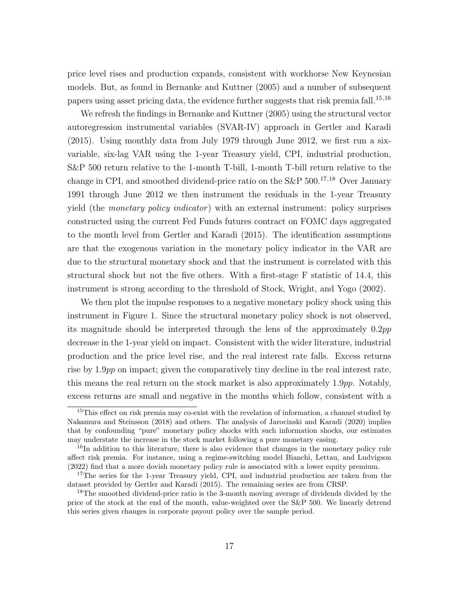price level rises and production expands, consistent with workhorse New Keynesian models. But, as found in [Bernanke and Kuttner](#page-41-0) [\(2005\)](#page-41-0) and a number of subsequent papers using asset pricing data, the evidence further suggests that risk premia fall.<sup>15,16</sup>

We refresh the findings in [Bernanke and Kuttner](#page-41-0) [\(2005\)](#page-41-0) using the structural vector autoregression instrumental variables (SVAR-IV) approach in [Gertler and Karadi](#page-43-3) [\(2015\)](#page-43-3). Using monthly data from July 1979 through June 2012, we first run a sixvariable, six-lag VAR using the 1-year Treasury yield, CPI, industrial production, S&P 500 return relative to the 1-month T-bill, 1-month T-bill return relative to the change in CPI, and smoothed dividend-price ratio on the  $S\&P 500$ .<sup>17,18</sup> Over January 1991 through June 2012 we then instrument the residuals in the 1-year Treasury yield (the *monetary policy indicator*) with an external instrument: policy surprises constructed using the current Fed Funds futures contract on FOMC days aggregated to the month level from [Gertler and Karadi](#page-43-3) [\(2015\)](#page-43-3). The identification assumptions are that the exogenous variation in the monetary policy indicator in the VAR are due to the structural monetary shock and that the instrument is correlated with this structural shock but not the five others. With a first-stage F statistic of 14.4, this instrument is strong according to the threshold of [Stock, Wright, and Yogo](#page-45-5) [\(2002\)](#page-45-5).

We then plot the impulse responses to a negative monetary policy shock using this instrument in Figure [1.](#page-18-0) Since the structural monetary policy shock is not observed, its magnitude should be interpreted through the lens of the approximately 0.2pp decrease in the 1-year yield on impact. Consistent with the wider literature, industrial production and the price level rise, and the real interest rate falls. Excess returns rise by 1.9pp on impact; given the comparatively tiny decline in the real interest rate, this means the real return on the stock market is also approximately 1.9pp. Notably, excess returns are small and negative in the months which follow, consistent with a

<sup>&</sup>lt;sup>15</sup>This effect on risk premia may co-exist with the revelation of information, a channel studied by [Nakamura and Steinsson](#page-44-8) [\(2018\)](#page-44-8) and others. The analysis of [Jarocinski and Karadi](#page-44-9) [\(2020\)](#page-44-9) implies that by confounding "pure" monetary policy shocks with such information shocks, our estimates may understate the increase in the stock market following a pure monetary easing.

<sup>&</sup>lt;sup>16</sup>In addition to this literature, there is also evidence that changes in the monetary policy rule affect risk premia. For instance, using a regime-switching model [Bianchi, Lettau, and Ludvigson](#page-41-8) [\(2022\)](#page-41-8) find that a more dovish monetary policy rule is associated with a lower equity premium.

<sup>&</sup>lt;sup>17</sup>The series for the 1-year Treasury yield, CPI, and industrial production are taken from the dataset provided by [Gertler and Karadi](#page-43-3) [\(2015\)](#page-43-3). The remaining series are from CRSP.

<sup>&</sup>lt;sup>18</sup>The smoothed dividend-price ratio is the 3-month moving average of dividends divided by the price of the stock at the end of the month, value-weighted over the S&P 500. We linearly detrend this series given changes in corporate payout policy over the sample period.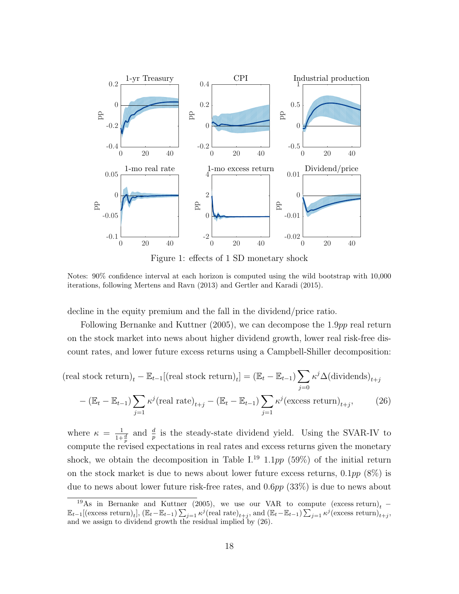

<span id="page-18-1"></span><span id="page-18-0"></span>Figure 1: effects of 1 SD monetary shock

Notes: 90% confidence interval at each horizon is computed using the wild bootstrap with 10,000 iterations, following [Mertens and Ravn](#page-44-10) [\(2013\)](#page-44-10) and [Gertler and Karadi](#page-43-3) [\(2015\)](#page-43-3).

decline in the equity premium and the fall in the dividend/price ratio.

Following [Bernanke and Kuttner](#page-41-0) [\(2005\)](#page-41-0), we can decompose the 1.9pp real return on the stock market into news about higher dividend growth, lower real risk-free discount rates, and lower future excess returns using a Campbell-Shiller decomposition:

$$
(\text{real stock return})_t - \mathbb{E}_{t-1}[(\text{real stock return})_t] = (\mathbb{E}_t - \mathbb{E}_{t-1}) \sum_{j=0} \kappa^j \Delta(\text{dividends})_{t+j}
$$

$$
-(\mathbb{E}_t - \mathbb{E}_{t-1}) \sum_{j=1} \kappa^j (\text{real rate})_{t+j} - (\mathbb{E}_t - \mathbb{E}_{t-1}) \sum_{j=1} \kappa^j (\text{excess return})_{t+j}, \qquad (26)
$$

where  $\kappa = \frac{1}{11}$  $\frac{1}{1+\frac{d}{p}}$  and  $\frac{d}{p}$  is the steady-state dividend yield. Using the SVAR-IV to compute the revised expectations in real rates and excess returns given the monetary shock, we obtain the decomposition in Table [I.](#page-19-0)<sup>19</sup> 1.1pp (59%) of the initial return on the stock market is due to news about lower future excess returns,  $0.1pp$  (8%) is due to news about lower future risk-free rates, and 0.6pp (33%) is due to news about

<sup>&</sup>lt;sup>19</sup>As in [Bernanke and Kuttner](#page-41-0) [\(2005\)](#page-41-0), we use our VAR to compute (excess return)<sub>t</sub> −  $\mathbb{E}_{t-1}[\text{(excess return)}_t], (\mathbb{E}_t - \mathbb{E}_{t-1}) \sum_{j=1} \kappa^j (\text{real rate})_{t+j}, \text{and } (\mathbb{E}_t - \mathbb{E}_{t-1}) \sum_{j=1} \kappa^j (\text{excess return})_{t+j}$ and we assign to dividend growth the residual implied by [\(26\)](#page-18-1).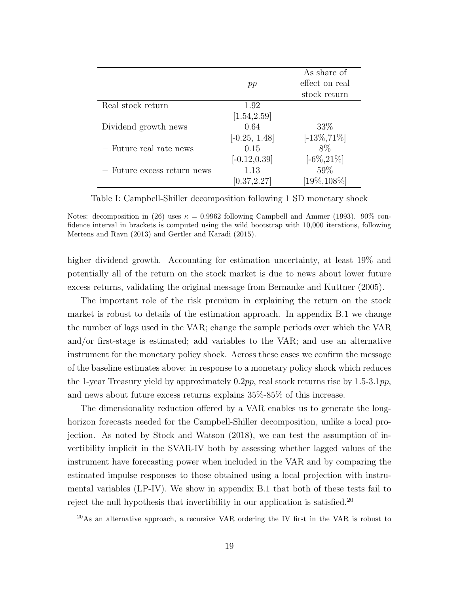|                             |                 | As share of     |
|-----------------------------|-----------------|-----------------|
|                             | pp              | effect on real  |
|                             |                 | stock return    |
| Real stock return           | 1.92            |                 |
|                             | [1.54, 2.59]    |                 |
| Dividend growth news        | 0.64            | 33\%            |
|                             | $[-0.25, 1.48]$ | $[-13\%, 71\%]$ |
| - Future real rate news     | 0.15            | $8\%$           |
|                             | $[-0.12, 0.39]$ | $[-6\%, 21\%]$  |
| - Future excess return news | 1.13            | 59%             |
|                             | [0.37, 2.27]    | $[19\%, 108\%]$ |

<span id="page-19-0"></span>Table I: Campbell-Shiller decomposition following 1 SD monetary shock

Notes: decomposition in [\(26\)](#page-18-1) uses  $\kappa = 0.9962$  following [Campbell and Ammer](#page-41-9) [\(1993\)](#page-41-9). 90% confidence interval in brackets is computed using the wild bootstrap with 10,000 iterations, following [Mertens and Ravn](#page-44-10) [\(2013\)](#page-44-10) and [Gertler and Karadi](#page-43-3) [\(2015\)](#page-43-3).

higher dividend growth. Accounting for estimation uncertainty, at least 19% and potentially all of the return on the stock market is due to news about lower future excess returns, validating the original message from [Bernanke and Kuttner](#page-41-0) [\(2005\)](#page-41-0).

The important role of the risk premium in explaining the return on the stock market is robust to details of the estimation approach. In appendix [B.1](#page-0-0) we change the number of lags used in the VAR; change the sample periods over which the VAR and/or first-stage is estimated; add variables to the VAR; and use an alternative instrument for the monetary policy shock. Across these cases we confirm the message of the baseline estimates above: in response to a monetary policy shock which reduces the 1-year Treasury yield by approximately  $0.2pp$ , real stock returns rise by 1.5-3.1pp, and news about future excess returns explains 35%-85% of this increase.

The dimensionality reduction offered by a VAR enables us to generate the longhorizon forecasts needed for the Campbell-Shiller decomposition, unlike a local projection. As noted by [Stock and Watson](#page-45-6) [\(2018\)](#page-45-6), we can test the assumption of invertibility implicit in the SVAR-IV both by assessing whether lagged values of the instrument have forecasting power when included in the VAR and by comparing the estimated impulse responses to those obtained using a local projection with instrumental variables (LP-IV). We show in appendix [B.1](#page-0-0) that both of these tests fail to reject the null hypothesis that invertibility in our application is satisfied.<sup>20</sup>

<sup>20</sup>As an alternative approach, a recursive VAR ordering the IV first in the VAR is robust to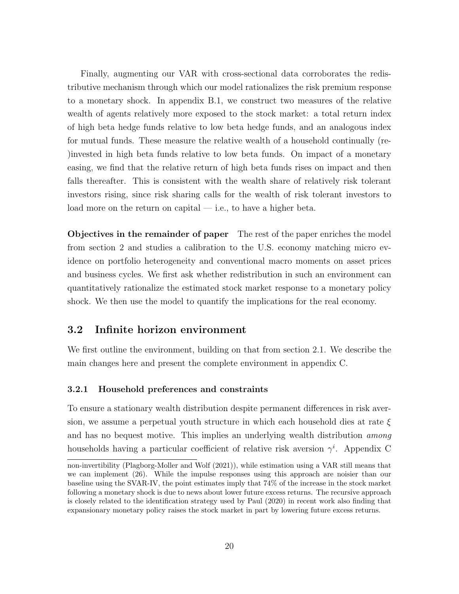Finally, augmenting our VAR with cross-sectional data corroborates the redistributive mechanism through which our model rationalizes the risk premium response to a monetary shock. In appendix [B.1,](#page-0-0) we construct two measures of the relative wealth of agents relatively more exposed to the stock market: a total return index of high beta hedge funds relative to low beta hedge funds, and an analogous index for mutual funds. These measure the relative wealth of a household continually (re- )invested in high beta funds relative to low beta funds. On impact of a monetary easing, we find that the relative return of high beta funds rises on impact and then falls thereafter. This is consistent with the wealth share of relatively risk tolerant investors rising, since risk sharing calls for the wealth of risk tolerant investors to load more on the return on capital — i.e., to have a higher beta.

Objectives in the remainder of paper The rest of the paper enriches the model from section [2](#page-5-0) and studies a calibration to the U.S. economy matching micro evidence on portfolio heterogeneity and conventional macro moments on asset prices and business cycles. We first ask whether redistribution in such an environment can quantitatively rationalize the estimated stock market response to a monetary policy shock. We then use the model to quantify the implications for the real economy.

### 3.2 Infinite horizon environment

We first outline the environment, building on that from section [2.1.](#page-6-3) We describe the main changes here and present the complete environment in appendix [C.](#page-0-0)

#### 3.2.1 Household preferences and constraints

To ensure a stationary wealth distribution despite permanent differences in risk aversion, we assume a perpetual youth structure in which each household dies at rate  $\xi$ and has no bequest motive. This implies an underlying wealth distribution *among* households having a particular coefficient of relative risk aversion  $\gamma^i$ . Appendix [C](#page-0-0)

non-invertibility [\(Plagborg-Moller and Wolf](#page-45-7) [\(2021\)](#page-45-7)), while estimation using a VAR still means that we can implement [\(26\)](#page-18-1). While the impulse responses using this approach are noisier than our baseline using the SVAR-IV, the point estimates imply that 74% of the increase in the stock market following a monetary shock is due to news about lower future excess returns. The recursive approach is closely related to the identification strategy used by [Paul](#page-45-8) [\(2020\)](#page-45-8) in recent work also finding that expansionary monetary policy raises the stock market in part by lowering future excess returns.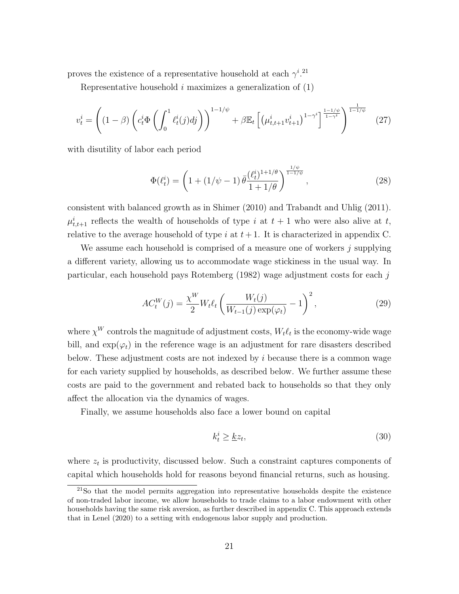proves the existence of a representative household at each  $\gamma^{i}$ .<sup>21</sup>

Representative household  $i$  maximizes a generalization of  $(1)$ 

$$
v_t^i = \left( (1 - \beta) \left( c_t^i \Phi \left( \int_0^1 \ell_t^i(j) \, dj \right) \right)^{1 - 1/\psi} + \beta \mathbb{E}_t \left[ \left( \mu_{t, t+1}^i v_{t+1}^i \right)^{1 - \gamma^i} \right]^{\frac{1 - 1/\psi}{1 - \gamma^i}} \right)^{\frac{1}{1 - 1/\psi}} \tag{27}
$$

with disutility of labor each period

$$
\Phi(\ell_t^i) = \left(1 + (1/\psi - 1)\bar{\theta} \frac{(\ell_t^i)^{1+1/\theta}}{1+1/\theta}\right)^{\frac{1/\psi}{1-1/\psi}},\tag{28}
$$

consistent with balanced growth as in [Shimer](#page-45-9) [\(2010\)](#page-45-9) and [Trabandt and Uhlig](#page-45-10) [\(2011\)](#page-45-10).  $\mu^i_{t,t+1}$  reflects the wealth of households of type i at  $t+1$  who were also alive at t, relative to the average household of type  $i$  at  $t + 1$ . It is characterized in appendix [C.](#page-0-0)

We assume each household is comprised of a measure one of workers  $\dot{\eta}$  supplying a different variety, allowing us to accommodate wage stickiness in the usual way. In particular, each household pays [Rotemberg](#page-45-11) [\(1982\)](#page-45-11) wage adjustment costs for each j

$$
AC_t^W(j) = \frac{\chi^W}{2} W_t \ell_t \left( \frac{W_t(j)}{W_{t-1}(j) \exp(\varphi_t)} - 1 \right)^2, \tag{29}
$$

where  $\chi^W$  controls the magnitude of adjustment costs,  $W_t\ell_t$  is the economy-wide wage bill, and  $\exp(\varphi_t)$  in the reference wage is an adjustment for rare disasters described below. These adjustment costs are not indexed by  $i$  because there is a common wage for each variety supplied by households, as described below. We further assume these costs are paid to the government and rebated back to households so that they only affect the allocation via the dynamics of wages.

Finally, we assume households also face a lower bound on capital

<span id="page-21-0"></span>
$$
k_t^i \ge \underline{k}z_t,\tag{30}
$$

where  $z_t$  is productivity, discussed below. Such a constraint captures components of capital which households hold for reasons beyond financial returns, such as housing.

<sup>21</sup>So that the model permits aggregation into representative households despite the existence of non-traded labor income, we allow households to trade claims to a labor endowment with other households having the same risk aversion, as further described in appendix [C.](#page-0-0) This approach extends that in [Lenel](#page-44-11) [\(2020\)](#page-44-11) to a setting with endogenous labor supply and production.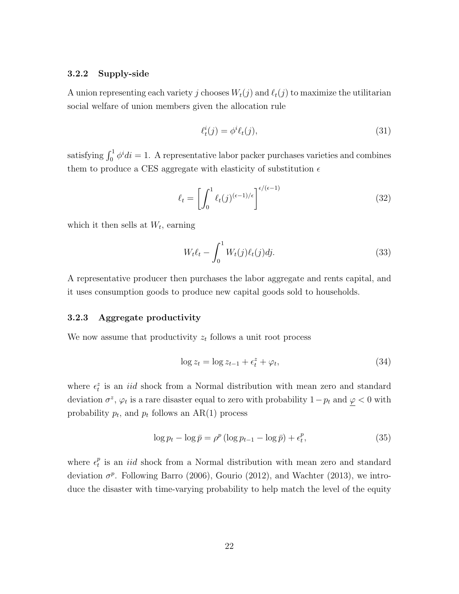#### 3.2.2 Supply-side

A union representing each variety j chooses  $W_t(j)$  and  $\ell_t(j)$  to maximize the utilitarian social welfare of union members given the allocation rule

$$
\ell_t^i(j) = \phi^i \ell_t(j),\tag{31}
$$

satisfying  $\int_0^1 \phi^i di = 1$ . A representative labor packer purchases varieties and combines them to produce a CES aggregate with elasticity of substitution  $\epsilon$ 

$$
\ell_t = \left[ \int_0^1 \ell_t(j)^{(\epsilon - 1)/\epsilon} \right]^{\epsilon/(\epsilon - 1)}
$$
\n(32)

which it then sells at  $W_t$ , earning

$$
W_t \ell_t - \int_0^1 W_t(j) \ell_t(j) dj.
$$
\n(33)

A representative producer then purchases the labor aggregate and rents capital, and it uses consumption goods to produce new capital goods sold to households.

#### 3.2.3 Aggregate productivity

We now assume that productivity  $z_t$  follows a unit root process

$$
\log z_t = \log z_{t-1} + \epsilon_t^z + \varphi_t,\tag{34}
$$

where  $\epsilon_t^z$  is an *iid* shock from a Normal distribution with mean zero and standard deviation  $\sigma^z$ ,  $\varphi_t$  is a rare disaster equal to zero with probability  $1-p_t$  and  $\varphi < 0$  with probability  $p_t$ , and  $p_t$  follows an AR(1) process

$$
\log p_t - \log \bar{p} = \rho^p \left( \log p_{t-1} - \log \bar{p} \right) + \epsilon_t^p,\tag{35}
$$

where  $\epsilon_t^p$  $_t^p$  is an *iid* shock from a Normal distribution with mean zero and standard deviation  $\sigma^p$ . Following [Barro](#page-40-4) [\(2006\)](#page-40-4), [Gourio](#page-43-8) [\(2012\)](#page-43-8), and [Wachter](#page-45-12) [\(2013\)](#page-45-12), we introduce the disaster with time-varying probability to help match the level of the equity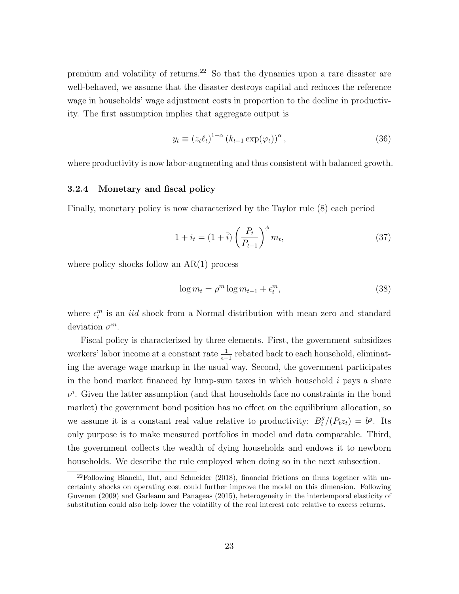premium and volatility of returns.<sup>22</sup> So that the dynamics upon a rare disaster are well-behaved, we assume that the disaster destroys capital and reduces the reference wage in households' wage adjustment costs in proportion to the decline in productivity. The first assumption implies that aggregate output is

$$
y_t \equiv (z_t \ell_t)^{1-\alpha} (k_{t-1} \exp(\varphi_t))^{\alpha}, \qquad (36)
$$

where productivity is now labor-augmenting and thus consistent with balanced growth.

#### 3.2.4 Monetary and fiscal policy

Finally, monetary policy is now characterized by the Taylor rule [\(8\)](#page-7-4) each period

$$
1 + i_t = (1 + \overline{i}) \left(\frac{P_t}{P_{t-1}}\right)^{\phi} m_t,
$$
\n
$$
(37)
$$

where policy shocks follow an  $AR(1)$  process

$$
\log m_t = \rho^m \log m_{t-1} + \epsilon_t^m,\tag{38}
$$

where  $\epsilon_t^m$  is an *iid* shock from a Normal distribution with mean zero and standard deviation  $\sigma^m$ .

Fiscal policy is characterized by three elements. First, the government subsidizes workers' labor income at a constant rate  $\frac{1}{\epsilon - 1}$  rebated back to each household, eliminating the average wage markup in the usual way. Second, the government participates in the bond market financed by lump-sum taxes in which household  $i$  pays a share  $\nu^{i}$ . Given the latter assumption (and that households face no constraints in the bond market) the government bond position has no effect on the equilibrium allocation, so we assume it is a constant real value relative to productivity:  $B_t^g/(P_t z_t) = b^g$ . Its only purpose is to make measured portfolios in model and data comparable. Third, the government collects the wealth of dying households and endows it to newborn households. We describe the rule employed when doing so in the next subsection.

 $22$ Following [Bianchi, Ilut, and Schneider](#page-41-10) [\(2018\)](#page-41-10), financial frictions on firms together with uncertainty shocks on operating cost could further improve the model on this dimension. Following [Guvenen](#page-43-9) [\(2009\)](#page-43-9) and [Garleanu and Panageas](#page-43-4) [\(2015\)](#page-43-4), heterogeneity in the intertemporal elasticity of substitution could also help lower the volatility of the real interest rate relative to excess returns.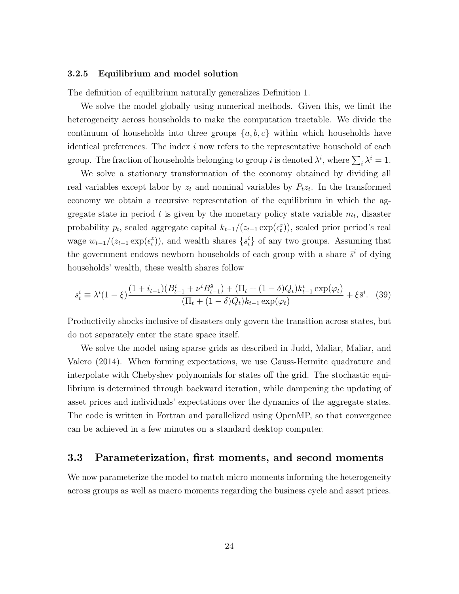#### 3.2.5 Equilibrium and model solution

The definition of equilibrium naturally generalizes Definition [1.](#page-8-3)

We solve the model globally using numerical methods. Given this, we limit the heterogeneity across households to make the computation tractable. We divide the continuum of households into three groups  $\{a, b, c\}$  within which households have identical preferences. The index  $i$  now refers to the representative household of each group. The fraction of households belonging to group *i* is denoted  $\lambda^i$ , where  $\sum_i \lambda^i = 1$ .

We solve a stationary transformation of the economy obtained by dividing all real variables except labor by  $z_t$  and nominal variables by  $P_t z_t$ . In the transformed economy we obtain a recursive representation of the equilibrium in which the aggregate state in period t is given by the monetary policy state variable  $m_t$ , disaster probability  $p_t$ , scaled aggregate capital  $k_{t-1}/(z_{t-1} \exp(\epsilon_t^z))$ , scaled prior period's real wage  $w_{t-1}/(z_{t-1} \exp(\epsilon_t^z))$ , and wealth shares  $\{s_t^i\}$  of any two groups. Assuming that the government endows newborn households of each group with a share  $\bar{s}^i$  of dying households' wealth, these wealth shares follow

$$
s_t^i \equiv \lambda^i (1 - \xi) \frac{(1 + i_{t-1})(B_{t-1}^i + \nu^i B_{t-1}^g) + (\Pi_t + (1 - \delta)Q_t)k_{t-1}^i \exp(\varphi_t)}{(\Pi_t + (1 - \delta)Q_t)k_{t-1} \exp(\varphi_t)} + \xi \bar{s}^i.
$$
 (39)

Productivity shocks inclusive of disasters only govern the transition across states, but do not separately enter the state space itself.

We solve the model using sparse grids as described in [Judd, Maliar, Maliar, and](#page-44-12) [Valero](#page-44-12) [\(2014\)](#page-44-12). When forming expectations, we use Gauss-Hermite quadrature and interpolate with Chebyshev polynomials for states off the grid. The stochastic equilibrium is determined through backward iteration, while dampening the updating of asset prices and individuals' expectations over the dynamics of the aggregate states. The code is written in Fortran and parallelized using OpenMP, so that convergence can be achieved in a few minutes on a standard desktop computer.

### 3.3 Parameterization, first moments, and second moments

We now parameterize the model to match micro moments informing the heterogeneity across groups as well as macro moments regarding the business cycle and asset prices.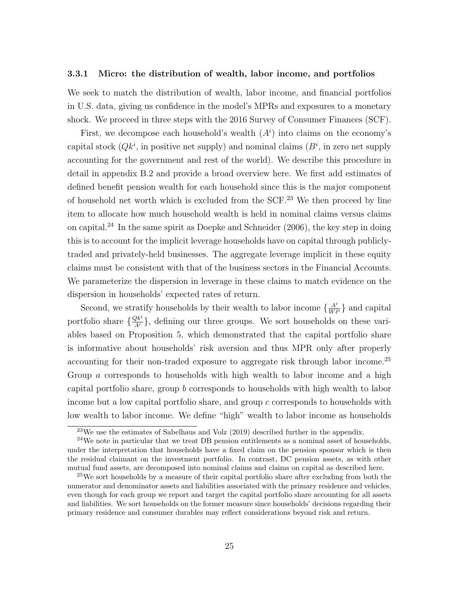#### 3.3.1 Micro: the distribution of wealth, labor income, and portfolios

We seek to match the distribution of wealth, labor income, and financial portfolios in U.S. data, giving us confidence in the model's MPRs and exposures to a monetary shock. We proceed in three steps with the 2016 Survey of Consumer Finances (SCF).

First, we decompose each household's wealth  $(A<sup>i</sup>)$  into claims on the economy's capital stock  $(Qk^i)$ , in positive net supply) and nominal claims  $(B^i)$ , in zero net supply accounting for the government and rest of the world). We describe this procedure in detail in appendix [B.2](#page-0-0) and provide a broad overview here. We first add estimates of defined benefit pension wealth for each household since this is the major component of household net worth which is excluded from the SCF.<sup>23</sup> We then proceed by line item to allocate how much household wealth is held in nominal claims versus claims on capital.<sup>24</sup> In the same spirit as [Doepke and Schneider](#page-42-1)  $(2006)$ , the key step in doing this is to account for the implicit leverage households have on capital through publiclytraded and privately-held businesses. The aggregate leverage implicit in these equity claims must be consistent with that of the business sectors in the Financial Accounts. We parameterize the dispersion in leverage in these claims to match evidence on the dispersion in households' expected rates of return.

Second, we stratify households by their wealth to labor income  $\{\frac{A^i}{W\ell^i}\}\$  and capital portfolio share  $\{\frac{Qk^i}{A^i}\}\$ , defining our three groups. We sort households on these variables based on Proposition [5,](#page-15-1) which demonstrated that the capital portfolio share is informative about households' risk aversion and thus MPR only after properly accounting for their non-traded exposure to aggregate risk through labor income.<sup>25</sup> Group a corresponds to households with high wealth to labor income and a high capital portfolio share, group b corresponds to households with high wealth to labor income but a low capital portfolio share, and group c corresponds to households with low wealth to labor income. We define "high" wealth to labor income as households

<sup>23</sup>We use the estimates of [Sabelhaus and Volz](#page-45-13) [\(2019\)](#page-45-13) described further in the appendix.

 $24$ We note in particular that we treat DB pension entitlements as a nominal asset of households, under the interpretation that households have a fixed claim on the pension sponsor which is then the residual claimant on the investment portfolio. In contrast, DC pension assets, as with other mutual fund assets, are decomposed into nominal claims and claims on capital as described here.

<sup>&</sup>lt;sup>25</sup>We sort households by a measure of their capital portfolio share after excluding from both the numerator and denominator assets and liabilities associated with the primary residence and vehicles, even though for each group we report and target the capital portfolio share accounting for all assets and liabilities. We sort households on the former measure since households' decisions regarding their primary residence and consumer durables may reflect considerations beyond risk and return.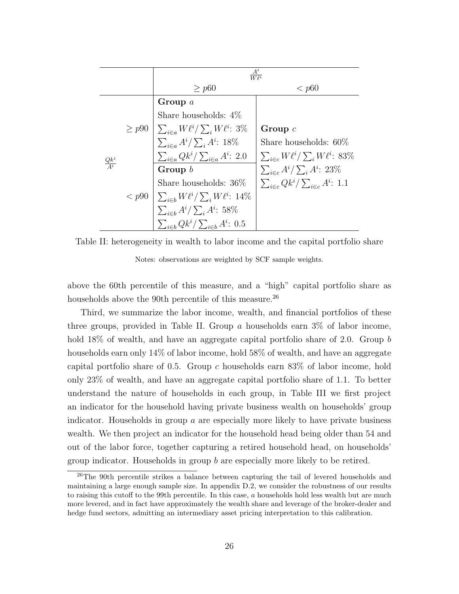|                    |            | $\frac{A^i}{W \ell^i}$                         |                                                  |  |
|--------------------|------------|------------------------------------------------|--------------------------------------------------|--|
|                    |            | $\geq p60$                                     | < p60                                            |  |
|                    |            | Group $a$                                      |                                                  |  |
|                    |            | Share households: $4\%$                        |                                                  |  |
|                    | $\geq p90$ | $\sum_{i \in a} W\ell^i / \sum_i W\ell^i$ : 3% | Group $c$                                        |  |
|                    |            | $\sum_{i\in a}A^i/\sum_iA^i$ : 18%             | Share households: $60\%$                         |  |
| $\frac{Qk^i}{A^i}$ |            | $\sum_{i\in a}Qk^i/\sum_{i\in a}A^i: 2.0$      | $\sum_{i \in c} W\ell^i / \sum_i W\ell^i$ : 83%  |  |
|                    | < p90      | Group $b$                                      | $\sum_{i \in c} A^i / \sum_i A^i$ : 23%          |  |
|                    |            | Share households: $36\%$                       | $\sum_{i \in c} Qk^i / \sum_{i \in c} A^i$ : 1.1 |  |
|                    |            | $\sum_{i\in b} W\ell^i / \sum_i W\ell^i$ : 14% |                                                  |  |
|                    |            | $\sum_{i\in b}A^i/\sum_iA^i:~58\%$             |                                                  |  |
|                    |            | $\sum_{i\in b}Qk^i/\sum_{i\in b}A^i:~0.5$      |                                                  |  |

Table II: heterogeneity in wealth to labor income and the capital portfolio share

<span id="page-26-0"></span>Notes: observations are weighted by SCF sample weights.

above the 60th percentile of this measure, and a "high" capital portfolio share as households above the 90th percentile of this measure.<sup>26</sup>

Third, we summarize the labor income, wealth, and financial portfolios of these three groups, provided in Table [II.](#page-26-0) Group a households earn  $3\%$  of labor income, hold 18% of wealth, and have an aggregate capital portfolio share of 2.0. Group b households earn only 14% of labor income, hold 58% of wealth, and have an aggregate capital portfolio share of 0.5. Group c households earn  $83\%$  of labor income, hold only 23% of wealth, and have an aggregate capital portfolio share of 1.1. To better understand the nature of households in each group, in Table [III](#page-27-0) we first project an indicator for the household having private business wealth on households' group indicator. Households in group  $a$  are especially more likely to have private business wealth. We then project an indicator for the household head being older than 54 and out of the labor force, together capturing a retired household head, on households' group indicator. Households in group  $b$  are especially more likely to be retired.

<sup>&</sup>lt;sup>26</sup>The 90th percentile strikes a balance between capturing the tail of levered households and maintaining a large enough sample size. In appendix [D.2,](#page-0-0) we consider the robustness of our results to raising this cutoff to the 99th percentile. In this case,  $a$  households hold less wealth but are much more levered, and in fact have approximately the wealth share and leverage of the broker-dealer and hedge fund sectors, admitting an intermediary asset pricing interpretation to this calibration.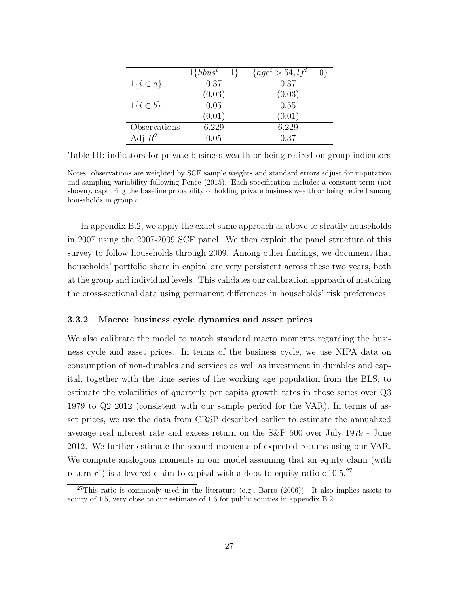|                | $1\{hbus^{i} = 1\}$ | $1\{age^i > 54, l f^i = 0\}$ |
|----------------|---------------------|------------------------------|
| $1\{i \in a\}$ | 0.37                | 0.37                         |
|                | (0.03)              | (0.03)                       |
| $1\{i\in b\}$  | 0.05                | 0.55                         |
|                | (0.01)              | (0.01)                       |
| Observations   | 6,229               | 6,229                        |
| Adj $R^2$      | 0.05                | 0.37                         |

<span id="page-27-0"></span>Table III: indicators for private business wealth or being retired on group indicators

Notes: observations are weighted by SCF sample weights and standard errors adjust for imputation and sampling variability following [Pence](#page-45-14) [\(2015\)](#page-45-14). Each specification includes a constant term (not shown), capturing the baseline probability of holding private business wealth or being retired among households in group c.

In appendix [B.2,](#page-0-0) we apply the exact same approach as above to stratify households in 2007 using the 2007-2009 SCF panel. We then exploit the panel structure of this survey to follow households through 2009. Among other findings, we document that households' portfolio share in capital are very persistent across these two years, both at the group and individual levels. This validates our calibration approach of matching the cross-sectional data using permanent differences in households' risk preferences.

#### 3.3.2 Macro: business cycle dynamics and asset prices

We also calibrate the model to match standard macro moments regarding the business cycle and asset prices. In terms of the business cycle, we use NIPA data on consumption of non-durables and services as well as investment in durables and capital, together with the time series of the working age population from the BLS, to estimate the volatilities of quarterly per capita growth rates in those series over Q3 1979 to Q2 2012 (consistent with our sample period for the VAR). In terms of asset prices, we use the data from CRSP described earlier to estimate the annualized average real interest rate and excess return on the S&P 500 over July 1979 - June 2012. We further estimate the second moments of expected returns using our VAR. We compute analogous moments in our model assuming that an equity claim (with return  $r^e$ ) is a levered claim to capital with a debt to equity ratio of 0.5.<sup>27</sup>

 $27$ This ratio is commonly used in the literature (e.g., [Barro](#page-40-4) [\(2006\)](#page-40-4)). It also implies assets to equity of 1.5, very close to our estimate of 1.6 for public equities in appendix [B.2.](#page-0-0)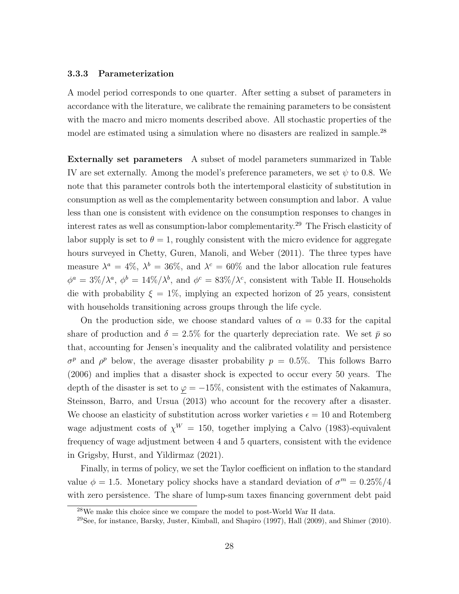#### 3.3.3 Parameterization

A model period corresponds to one quarter. After setting a subset of parameters in accordance with the literature, we calibrate the remaining parameters to be consistent with the macro and micro moments described above. All stochastic properties of the model are estimated using a simulation where no disasters are realized in sample.<sup>28</sup>

Externally set parameters A subset of model parameters summarized in Table [IV](#page-29-0) are set externally. Among the model's preference parameters, we set  $\psi$  to 0.8. We note that this parameter controls both the intertemporal elasticity of substitution in consumption as well as the complementarity between consumption and labor. A value less than one is consistent with evidence on the consumption responses to changes in interest rates as well as consumption-labor complementarity.<sup>29</sup> The Frisch elasticity of labor supply is set to  $\theta = 1$ , roughly consistent with the micro evidence for aggregate hours surveyed in [Chetty, Guren, Manoli, and Weber](#page-42-10) [\(2011\)](#page-42-10). The three types have measure  $\lambda^a = 4\%, \lambda^b = 36\%, \text{ and } \lambda^c = 60\%$  and the labor allocation rule features  $\phi^a = 3\%/\lambda^a$ ,  $\phi^b = 14\%/\lambda^b$ , and  $\phi^c = 83\%/\lambda^c$ , consistent with Table [II.](#page-26-0) Households die with probability  $\xi = 1\%$ , implying an expected horizon of 25 years, consistent with households transitioning across groups through the life cycle.

On the production side, we choose standard values of  $\alpha = 0.33$  for the capital share of production and  $\delta = 2.5\%$  for the quarterly depreciation rate. We set  $\bar{p}$  so that, accounting for Jensen's inequality and the calibrated volatility and persistence  $\sigma^p$  and  $\rho^p$  below, the average disaster probability  $p = 0.5\%$ . This follows [Barro](#page-40-4) [\(2006\)](#page-40-4) and implies that a disaster shock is expected to occur every 50 years. The depth of the disaster is set to  $\varphi = -15\%$ , consistent with the estimates of [Nakamura,](#page-44-13) [Steinsson, Barro, and Ursua](#page-44-13) [\(2013\)](#page-44-13) who account for the recovery after a disaster. We choose an elasticity of substitution across worker varieties  $\epsilon = 10$  and Rotemberg wage adjustment costs of  $\chi^W = 150$ , together implying a [Calvo](#page-41-11) [\(1983\)](#page-41-11)-equivalent frequency of wage adjustment between 4 and 5 quarters, consistent with the evidence in [Grigsby, Hurst, and Yildirmaz](#page-43-10) [\(2021\)](#page-43-10).

Finally, in terms of policy, we set the Taylor coefficient on inflation to the standard value  $\phi = 1.5$ . Monetary policy shocks have a standard deviation of  $\sigma^m = 0.25\%/4$ with zero persistence. The share of lump-sum taxes financing government debt paid

 $28$ We make this choice since we compare the model to post-World War II data.

<sup>29</sup>See, for instance, [Barsky, Juster, Kimball, and Shapiro](#page-40-5) [\(1997\)](#page-40-5), [Hall](#page-43-11) [\(2009\)](#page-43-11), and [Shimer](#page-45-9) [\(2010\)](#page-45-9).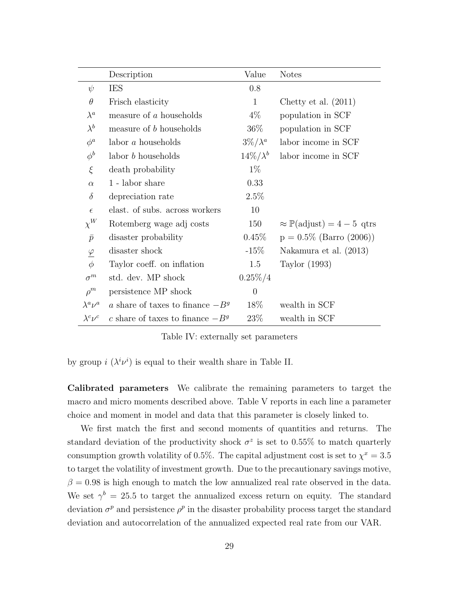|                       | Description                        | Value            | <b>Notes</b>                                   |
|-----------------------|------------------------------------|------------------|------------------------------------------------|
| $\psi$                | <b>IES</b>                         | 0.8              |                                                |
| $\theta$              | Frisch elasticity                  | $\mathbf{1}$     | Chetty et al. $(2011)$                         |
| $\lambda^a$           | measure of a households            | $4\%$            | population in SCF                              |
| $\lambda^{b}$         | measure of b households            | $36\%$           | population in SCF                              |
| $\phi^a$              | labor $a$ households               | $3\%/\lambda^a$  | labor income in SCF                            |
| $\phi^b$              | labor <i>b</i> households          | $14\%/\lambda^b$ | labor income in SCF                            |
| ξ                     | death probability                  | $1\%$            |                                                |
| $\alpha$              | $1$ - ${\rm labor}$ share          | 0.33             |                                                |
| $\delta$              | depreciation rate                  | 2.5%             |                                                |
| $\epsilon$            | elast. of subs. across workers     | 10               |                                                |
| $\chi^W$              | Rotemberg wage adj costs           | 150              | $\approx \mathbb{P}(\text{adjust}) = 4-5$ qtrs |
| $\bar{p}$             | disaster probability               | $0.45\%$         | $p = 0.5\%$ (Barro (2006))                     |
| $\underline{\varphi}$ | disaster shock                     | $-15%$           | Nakamura et al. (2013)                         |
| $\phi$                | Taylor coeff. on inflation         | 1.5              | Taylor (1993)                                  |
| $\sigma^m$            | std. dev. MP shock                 | $0.25\%/4$       |                                                |
| $\rho^m$              | persistence MP shock               | $\overline{0}$   |                                                |
| $\lambda^a \nu^a$     | a share of taxes to finance $-B^g$ | 18\%             | wealth in SCF                                  |
| $\lambda^c \nu^c$     | c share of taxes to finance $-B^g$ | 23\%             | wealth in SCF                                  |

<span id="page-29-0"></span>Table IV: externally set parameters

by group  $i \left( \lambda^i \nu^i \right)$  is equal to their wealth share in Table [II.](#page-26-0)

Calibrated parameters We calibrate the remaining parameters to target the macro and micro moments described above. Table [V](#page-30-0) reports in each line a parameter choice and moment in model and data that this parameter is closely linked to.

We first match the first and second moments of quantities and returns. The standard deviation of the productivity shock  $\sigma^z$  is set to 0.55% to match quarterly consumption growth volatility of 0.5%. The capital adjustment cost is set to  $\chi^x = 3.5$ to target the volatility of investment growth. Due to the precautionary savings motive,  $\beta = 0.98$  is high enough to match the low annualized real rate observed in the data. We set  $\gamma^b = 25.5$  to target the annualized excess return on equity. The standard deviation  $\sigma^p$  and persistence  $\rho^p$  in the disaster probability process target the standard deviation and autocorrelation of the annualized expected real rate from our VAR.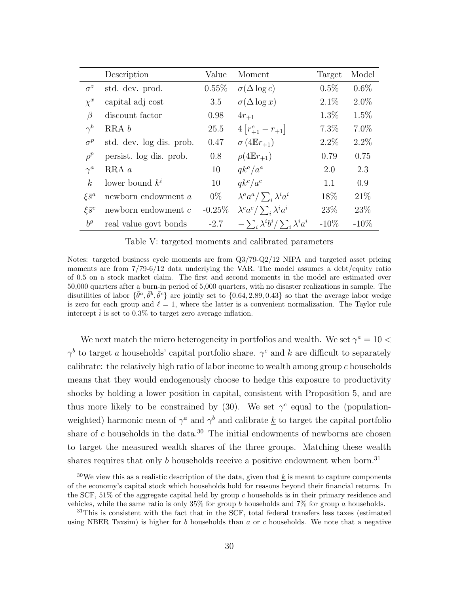|                      | Description              | Value     | Moment                                         | Target  | Model   |
|----------------------|--------------------------|-----------|------------------------------------------------|---------|---------|
| $\sigma^z$           | std. dev. prod.          | $0.55\%$  | $\sigma(\Delta \log c)$                        | $0.5\%$ | 0.6%    |
| $\chi^x$             | capital adj cost         | 3.5       | $\sigma(\Delta \log x)$                        | $2.1\%$ | $2.0\%$ |
| $\beta$              | discount factor          | 0.98      | $4r_{+1}$                                      | $1.3\%$ | 1.5%    |
| $\gamma^b$           | RRA b                    | 25.5      | $4[r_{+1}^e-r_{+1}]$                           | $7.3\%$ | $7.0\%$ |
| $\sigma^p$           | std. dev. log dis. prob. | 0.47      | $\sigma(4E_{r+1})$                             | $2.2\%$ | $2.2\%$ |
| $\rho^p$             | persist. log dis. prob.  | 0.8       | $\rho(4E_{r+1})$                               | 0.79    | 0.75    |
| $\gamma^a$           | $RRA \, a$               | 10        | $qk^a/a^a$                                     | 2.0     | 2.3     |
| $k_{\parallel}$      | lower bound $k^i$        | 10        | $qk^c/a^c$                                     | 1.1     | 0.9     |
| $\xi \bar{s}^a$      | newborn endowment a      | $0\%$     | $\lambda^a a^a / \sum_i \lambda^i a^i$         | 18%     | 21\%    |
| $\xi \overline{s}^c$ | newborn endowment $c$    | $-0.25\%$ | $\lambda^c a^c / \sum_i \lambda^i a^i$         | 23\%    | 23\%    |
| $b^g$                | real value govt bonds    | $-2.7$    | $-\sum_i \lambda^i b^i / \sum_i \lambda^i a^i$ | $-10\%$ | $-10\%$ |

<span id="page-30-0"></span>Table V: targeted moments and calibrated parameters

Notes: targeted business cycle moments are from Q3/79-Q2/12 NIPA and targeted asset pricing moments are from  $7/79-6/12$  data underlying the VAR. The model assumes a debt/equity ratio of 0.5 on a stock market claim. The first and second moments in the model are estimated over 50,000 quarters after a burn-in period of 5,000 quarters, with no disaster realizations in sample. The disutilities of labor  $\{\bar{\theta}^a, \bar{\theta}^b, \bar{\theta}^c\}$  are jointly set to  $\{0.64, 2.89, 0.43\}$  so that the average labor wedge is zero for each group and  $\ell = 1$ , where the latter is a convenient normalization. The Taylor rule intercept  $\bar{i}$  is set to 0.3% to target zero average inflation.

We next match the micro heterogeneity in portfolios and wealth. We set  $\gamma^a = 10$  $\gamma^b$  to target a households' capital portfolio share.  $\gamma^c$  and <u>k</u> are difficult to separately calibrate: the relatively high ratio of labor income to wealth among group c households means that they would endogenously choose to hedge this exposure to productivity shocks by holding a lower position in capital, consistent with Proposition [5,](#page-15-1) and are thus more likely to be constrained by [\(30\)](#page-21-0). We set  $\gamma^c$  equal to the (populationweighted) harmonic mean of  $\gamma^a$  and  $\gamma^b$  and calibrate <u>k</u> to target the capital portfolio share of c households in the data.<sup>30</sup> The initial endowments of newborns are chosen to target the measured wealth shares of the three groups. Matching these wealth shares requires that only  $b$  households receive a positive endowment when born.<sup>31</sup>

<sup>&</sup>lt;sup>30</sup>We view this as a realistic description of the data, given that k is meant to capture components of the economy's capital stock which households hold for reasons beyond their financial returns. In the SCF, 51% of the aggregate capital held by group c households is in their primary residence and vehicles, while the same ratio is only  $35\%$  for group b households and  $7\%$  for group a households.

<sup>&</sup>lt;sup>31</sup>This is consistent with the fact that in the SCF, total federal transfers less taxes (estimated using NBER Taxsim) is higher for b households than a or c households. We note that a negative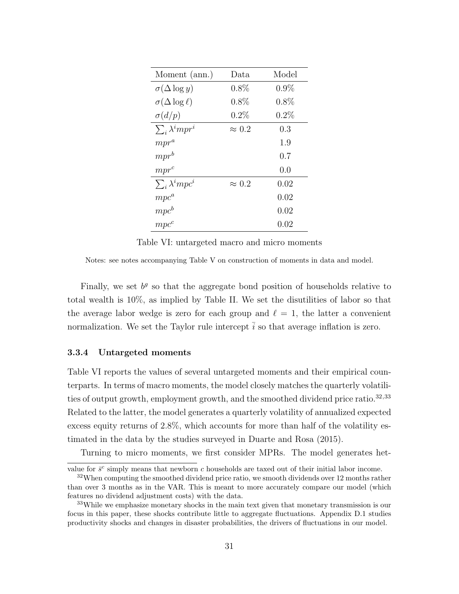| Moment (ann.)              | Data          | Model   |
|----------------------------|---------------|---------|
| $\sigma(\Delta \log y)$    | $0.8\%$       | $0.9\%$ |
| $\sigma(\Delta \log \ell)$ | $0.8\%$       | 0.8%    |
| $\sigma(d/p)$              | 0.2%          | 0.2%    |
| $\sum_i \lambda^i m p r^i$ | $\approx 0.2$ | 0.3     |
| $mpr^a$                    |               | 1.9     |
| $mpr^b$                    |               | 0.7     |
| $mpr^c$                    |               | 0.0     |
| $\sum_i \lambda^i mpc^i$   | $\approx 0.2$ | 0.02    |
| $mpc^a$                    |               | 0.02    |
| $mpc^b$                    |               | 0.02    |
| $mpc^c$                    |               | 0.02    |

<span id="page-31-0"></span>Table VI: untargeted macro and micro moments

Notes: see notes accompanying Table [V](#page-30-0) on construction of moments in data and model.

Finally, we set  $b<sup>g</sup>$  so that the aggregate bond position of households relative to total wealth is 10%, as implied by Table [II.](#page-26-0) We set the disutilities of labor so that the average labor wedge is zero for each group and  $\ell = 1$ , the latter a convenient normalization. We set the Taylor rule intercept  $\overline{i}$  so that average inflation is zero.

#### 3.3.4 Untargeted moments

Table [VI](#page-31-0) reports the values of several untargeted moments and their empirical counterparts. In terms of macro moments, the model closely matches the quarterly volatilities of output growth, employment growth, and the smoothed dividend price ratio.<sup>32,33</sup> Related to the latter, the model generates a quarterly volatility of annualized expected excess equity returns of 2.8%, which accounts for more than half of the volatility estimated in the data by the studies surveyed in [Duarte and Rosa](#page-42-11) [\(2015\)](#page-42-11).

Turning to micro moments, we first consider MPRs. The model generates het-

value for  $\bar{s}^c$  simply means that newborn c households are taxed out of their initial labor income.

<sup>&</sup>lt;sup>32</sup>When computing the smoothed dividend price ratio, we smooth dividends over 12 months rather than over 3 months as in the VAR. This is meant to more accurately compare our model (which features no dividend adjustment costs) with the data.

<sup>&</sup>lt;sup>33</sup>While we emphasize monetary shocks in the main text given that monetary transmission is our focus in this paper, these shocks contribute little to aggregate fluctuations. Appendix [D.1](#page-0-0) studies productivity shocks and changes in disaster probabilities, the drivers of fluctuations in our model.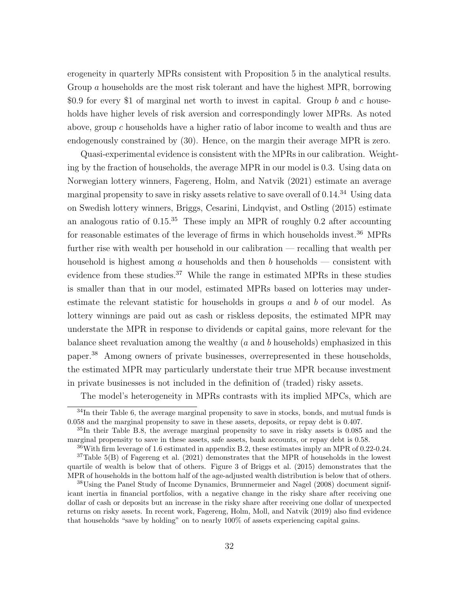erogeneity in quarterly MPRs consistent with Proposition [5](#page-15-1) in the analytical results. Group a households are the most risk tolerant and have the highest MPR, borrowing \$0.9 for every \$1 of marginal net worth to invest in capital. Group b and c households have higher levels of risk aversion and correspondingly lower MPRs. As noted above, group c households have a higher ratio of labor income to wealth and thus are endogenously constrained by [\(30\)](#page-21-0). Hence, on the margin their average MPR is zero.

Quasi-experimental evidence is consistent with the MPRs in our calibration. Weighting by the fraction of households, the average MPR in our model is 0.3. Using data on Norwegian lottery winners, [Fagereng, Holm, and Natvik](#page-43-12) [\(2021\)](#page-43-12) estimate an average marginal propensity to save in risky assets relative to save overall of 0.14.<sup>34</sup> Using data on Swedish lottery winners, [Briggs, Cesarini, Lindqvist, and Ostling](#page-41-12) [\(2015\)](#page-41-12) estimate an analogous ratio of  $0.15^{35}$  These imply an MPR of roughly 0.2 after accounting for reasonable estimates of the leverage of firms in which households invest.<sup>36</sup> MPRs further rise with wealth per household in our calibration — recalling that wealth per household is highest among a households and then b households — consistent with evidence from these studies.<sup>37</sup> While the range in estimated MPRs in these studies is smaller than that in our model, estimated MPRs based on lotteries may underestimate the relevant statistic for households in groups a and b of our model. As lottery winnings are paid out as cash or riskless deposits, the estimated MPR may understate the MPR in response to dividends or capital gains, more relevant for the balance sheet revaluation among the wealthy  $(a \text{ and } b \text{ households})$  emphasized in this paper.<sup>38</sup> Among owners of private businesses, overrepresented in these households, the estimated MPR may particularly understate their true MPR because investment in private businesses is not included in the definition of (traded) risky assets.

The model's heterogeneity in MPRs contrasts with its implied MPCs, which are

 $34$ In their Table 6, the average marginal propensity to save in stocks, bonds, and mutual funds is 0.058 and the marginal propensity to save in these assets, deposits, or repay debt is 0.407.

<sup>35</sup>In their Table B.8, the average marginal propensity to save in risky assets is 0.085 and the marginal propensity to save in these assets, safe assets, bank accounts, or repay debt is 0.58.

<sup>36</sup>With firm leverage of 1.6 estimated in appendix [B.2,](#page-0-0) these estimates imply an MPR of 0.22-0.24.

 $37$ Table 5(B) of [Fagereng et al.](#page-43-12) [\(2021\)](#page-43-12) demonstrates that the MPR of households in the lowest quartile of wealth is below that of others. Figure 3 of [Briggs et al.](#page-41-12) [\(2015\)](#page-41-12) demonstrates that the MPR of households in the bottom half of the age-adjusted wealth distribution is below that of others.

<sup>38</sup>Using the Panel Study of Income Dynamics, [Brunnermeier and Nagel](#page-41-13) [\(2008\)](#page-41-13) document significant inertia in financial portfolios, with a negative change in the risky share after receiving one dollar of cash or deposits but an increase in the risky share after receiving one dollar of unexpected returns on risky assets. In recent work, [Fagereng, Holm, Moll, and Natvik](#page-43-13) [\(2019\)](#page-43-13) also find evidence that households "save by holding" on to nearly 100% of assets experiencing capital gains.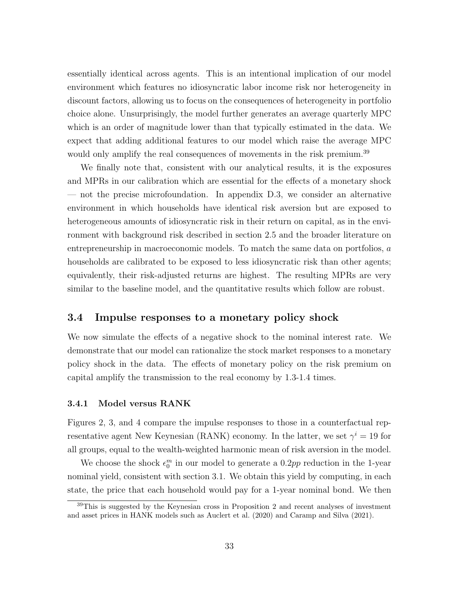essentially identical across agents. This is an intentional implication of our model environment which features no idiosyncratic labor income risk nor heterogeneity in discount factors, allowing us to focus on the consequences of heterogeneity in portfolio choice alone. Unsurprisingly, the model further generates an average quarterly MPC which is an order of magnitude lower than that typically estimated in the data. We expect that adding additional features to our model which raise the average MPC would only amplify the real consequences of movements in the risk premium.<sup>39</sup>

We finally note that, consistent with our analytical results, it is the exposures and MPRs in our calibration which are essential for the effects of a monetary shock — not the precise microfoundation. In appendix [D.3,](#page-0-0) we consider an alternative environment in which households have identical risk aversion but are exposed to heterogeneous amounts of idiosyncratic risk in their return on capital, as in the environment with background risk described in section [2.5](#page-13-0) and the broader literature on entrepreneurship in macroeconomic models. To match the same data on portfolios, a households are calibrated to be exposed to less idiosyncratic risk than other agents; equivalently, their risk-adjusted returns are highest. The resulting MPRs are very similar to the baseline model, and the quantitative results which follow are robust.

### 3.4 Impulse responses to a monetary policy shock

We now simulate the effects of a negative shock to the nominal interest rate. We demonstrate that our model can rationalize the stock market responses to a monetary policy shock in the data. The effects of monetary policy on the risk premium on capital amplify the transmission to the real economy by 1.3-1.4 times.

#### 3.4.1 Model versus RANK

Figures [2,](#page-34-0) [3,](#page-35-0) and [4](#page-36-0) compare the impulse responses to those in a counterfactual representative agent New Keynesian (RANK) economy. In the latter, we set  $\gamma^i = 19$  for all groups, equal to the wealth-weighted harmonic mean of risk aversion in the model.

We choose the shock  $\epsilon_0^m$  in our model to generate a 0.2pp reduction in the 1-year nominal yield, consistent with section [3.1.](#page-16-1) We obtain this yield by computing, in each state, the price that each household would pay for a 1-year nominal bond. We then

 $39$ This is suggested by the Keynesian cross in Proposition [2](#page-11-0) and recent analyses of investment and asset prices in HANK models such as [Auclert et al.](#page-40-2) [\(2020\)](#page-40-2) and [Caramp and Silva](#page-42-12) [\(2021\)](#page-42-12).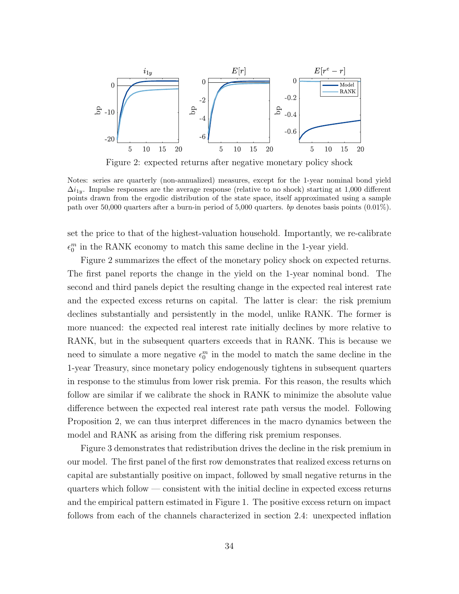

<span id="page-34-0"></span>Figure 2: expected returns after negative monetary policy shock

Notes: series are quarterly (non-annualized) measures, except for the 1-year nominal bond yield  $\Delta i_{1y}$ . Impulse responses are the average response (relative to no shock) starting at 1,000 different points drawn from the ergodic distribution of the state space, itself approximated using a sample path over 50,000 quarters after a burn-in period of 5,000 quarters. bp denotes basis points (0.01%).

set the price to that of the highest-valuation household. Importantly, we re-calibrate  $\epsilon_0^m$  in the RANK economy to match this same decline in the 1-year yield.

Figure [2](#page-34-0) summarizes the effect of the monetary policy shock on expected returns. The first panel reports the change in the yield on the 1-year nominal bond. The second and third panels depict the resulting change in the expected real interest rate and the expected excess returns on capital. The latter is clear: the risk premium declines substantially and persistently in the model, unlike RANK. The former is more nuanced: the expected real interest rate initially declines by more relative to RANK, but in the subsequent quarters exceeds that in RANK. This is because we need to simulate a more negative  $\epsilon_0^m$  in the model to match the same decline in the 1-year Treasury, since monetary policy endogenously tightens in subsequent quarters in response to the stimulus from lower risk premia. For this reason, the results which follow are similar if we calibrate the shock in RANK to minimize the absolute value difference between the expected real interest rate path versus the model. Following Proposition [2,](#page-11-0) we can thus interpret differences in the macro dynamics between the model and RANK as arising from the differing risk premium responses.

Figure [3](#page-35-0) demonstrates that redistribution drives the decline in the risk premium in our model. The first panel of the first row demonstrates that realized excess returns on capital are substantially positive on impact, followed by small negative returns in the quarters which follow — consistent with the initial decline in expected excess returns and the empirical pattern estimated in Figure [1.](#page-18-0) The positive excess return on impact follows from each of the channels characterized in section [2.4:](#page-11-1) unexpected inflation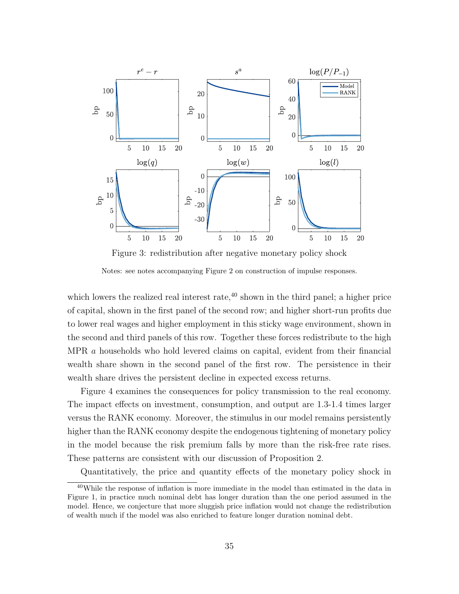

<span id="page-35-0"></span>Figure 3: redistribution after negative monetary policy shock

Notes: see notes accompanying Figure [2](#page-34-0) on construction of impulse responses.

which lowers the realized real interest rate, $40$  shown in the third panel; a higher price of capital, shown in the first panel of the second row; and higher short-run profits due to lower real wages and higher employment in this sticky wage environment, shown in the second and third panels of this row. Together these forces redistribute to the high MPR a households who hold levered claims on capital, evident from their financial wealth share shown in the second panel of the first row. The persistence in their wealth share drives the persistent decline in expected excess returns.

Figure [4](#page-36-0) examines the consequences for policy transmission to the real economy. The impact effects on investment, consumption, and output are 1.3-1.4 times larger versus the RANK economy. Moreover, the stimulus in our model remains persistently higher than the RANK economy despite the endogenous tightening of monetary policy in the model because the risk premium falls by more than the risk-free rate rises. These patterns are consistent with our discussion of Proposition [2.](#page-11-0)

Quantitatively, the price and quantity effects of the monetary policy shock in

<sup>40</sup>While the response of inflation is more immediate in the model than estimated in the data in Figure [1,](#page-18-0) in practice much nominal debt has longer duration than the one period assumed in the model. Hence, we conjecture that more sluggish price inflation would not change the redistribution of wealth much if the model was also enriched to feature longer duration nominal debt.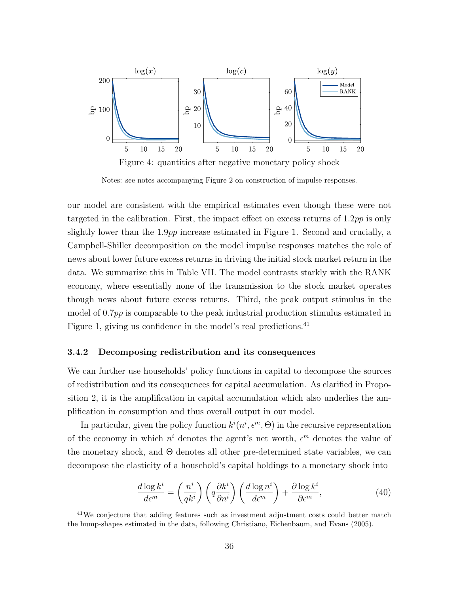

<span id="page-36-0"></span>Notes: see notes accompanying Figure [2](#page-34-0) on construction of impulse responses.

our model are consistent with the empirical estimates even though these were not targeted in the calibration. First, the impact effect on excess returns of  $1.2pp$  is only slightly lower than the 1.9pp increase estimated in Figure [1.](#page-18-0) Second and crucially, a Campbell-Shiller decomposition on the model impulse responses matches the role of news about lower future excess returns in driving the initial stock market return in the data. We summarize this in Table [VII.](#page-37-0) The model contrasts starkly with the RANK economy, where essentially none of the transmission to the stock market operates though news about future excess returns. Third, the peak output stimulus in the model of 0.7pp is comparable to the peak industrial production stimulus estimated in Figure [1,](#page-18-0) giving us confidence in the model's real predictions.<sup>41</sup>

#### 3.4.2 Decomposing redistribution and its consequences

We can further use households' policy functions in capital to decompose the sources of redistribution and its consequences for capital accumulation. As clarified in Proposition [2,](#page-11-0) it is the amplification in capital accumulation which also underlies the amplification in consumption and thus overall output in our model.

In particular, given the policy function  $k^{i}(n^{i}, \epsilon^{m}, \Theta)$  in the recursive representation of the economy in which  $n^i$  denotes the agent's net worth,  $\epsilon^m$  denotes the value of the monetary shock, and Θ denotes all other pre-determined state variables, we can decompose the elasticity of a household's capital holdings to a monetary shock into

<span id="page-36-1"></span>
$$
\frac{d \log k^i}{d \epsilon^m} = \left(\frac{n^i}{q k^i}\right) \left(q \frac{\partial k^i}{\partial n^i}\right) \left(\frac{d \log n^i}{d \epsilon^m}\right) + \frac{\partial \log k^i}{\partial \epsilon^m},\tag{40}
$$

<sup>41</sup>We conjecture that adding features such as investment adjustment costs could better match the hump-shapes estimated in the data, following [Christiano, Eichenbaum, and Evans](#page-42-13) [\(2005\)](#page-42-13).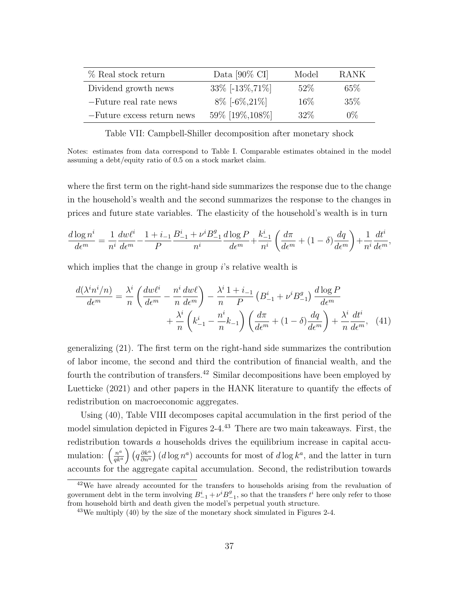| % Real stock return        | Data $[90\% \text{ CI}]$ | Model  | <b>RANK</b> |
|----------------------------|--------------------------|--------|-------------|
| Dividend growth news       | 33\% $[-13\%, 71\%]$     | 52\%   | 65\%        |
| -Future real rate news     | $8\%$ [-6\% 21\%]        | $16\%$ | 35%         |
| -Future excess return news | 59% [19%, 108%]          | 32\%   | $0\%$       |

<span id="page-37-0"></span>Table VII: Campbell-Shiller decomposition after monetary shock

Notes: estimates from data correspond to Table [I.](#page-19-0) Comparable estimates obtained in the model assuming a debt/equity ratio of 0.5 on a stock market claim.

where the first term on the right-hand side summarizes the response due to the change in the household's wealth and the second summarizes the response to the changes in prices and future state variables. The elasticity of the household's wealth is in turn

$$
\frac{d\log n^i}{d\epsilon^m}=\frac{1}{n^i}\frac{dw\ell^i}{d\epsilon^m}-\frac{1+i_{-1}}{P}\frac{B^i_{-1}+\nu^iB^g_{-1}}{n^i}\frac{d\log P}{d\epsilon^m}+\frac{k^i_{-1}}{n^i}\left(\frac{d\pi}{d\epsilon^m}+(1-\delta)\frac{dq}{d\epsilon^m}\right)+\frac{1}{n^i}\frac{dt^i}{d\epsilon^m},
$$

which implies that the change in group  $i$ 's relative wealth is

<span id="page-37-1"></span>
$$
\frac{d(\lambda^i n^i/n)}{d\epsilon^m} = \frac{\lambda^i}{n} \left( \frac{dw\ell^i}{d\epsilon^m} - \frac{n^i}{n} \frac{dw\ell}{d\epsilon^m} \right) - \frac{\lambda^i}{n} \frac{1+i_{-1}}{P} \left( B_{-1}^i + \nu^i B_{-1}^g \right) \frac{d\log P}{d\epsilon^m} + \frac{\lambda^i}{n} \left( k_{-1}^i - \frac{n^i}{n} k_{-1} \right) \left( \frac{d\pi}{d\epsilon^m} + (1-\delta) \frac{dq}{d\epsilon^m} \right) + \frac{\lambda^i}{n} \frac{dt^i}{d\epsilon^m}, \quad (41)
$$

generalizing [\(21\)](#page-12-1). The first term on the right-hand side summarizes the contribution of labor income, the second and third the contribution of financial wealth, and the fourth the contribution of transfers.<sup>42</sup> Similar decompositions have been employed by [Luetticke](#page-44-2) [\(2021\)](#page-44-2) and other papers in the HANK literature to quantify the effects of redistribution on macroeconomic aggregates.

Using [\(40\)](#page-36-1), Table [VIII](#page-38-0) decomposes capital accumulation in the first period of the model simulation depicted in Figures [2-](#page-34-0)[4.](#page-36-0)<sup>43</sup> There are two main takeaways. First, the redistribution towards a households drives the equilibrium increase in capital accumulation:  $\left(\frac{n^a}{a^{k^a}}\right)$  $\left(q_{\theta k^a}^{a}\right)\left(q_{\partial n^a}^{\partial k^a}\right)$  $\frac{\partial k^a}{\partial n^a}$  (*d* log  $n^a$ ) accounts for most of *d* log  $k^a$ , and the latter in turn accounts for the aggregate capital accumulation. Second, the redistribution towards

<sup>42</sup>We have already accounted for the transfers to households arising from the revaluation of government debt in the term involving  $B_{-1}^i + \nu^i B_{-1}^g$ , so that the transfers  $t^i$  here only refer to those from household birth and death given the model's perpetual youth structure.

 $43$ We multiply [\(40\)](#page-36-1) by the size of the monetary shock simulated in Figures [2-](#page-34-0)[4.](#page-36-0)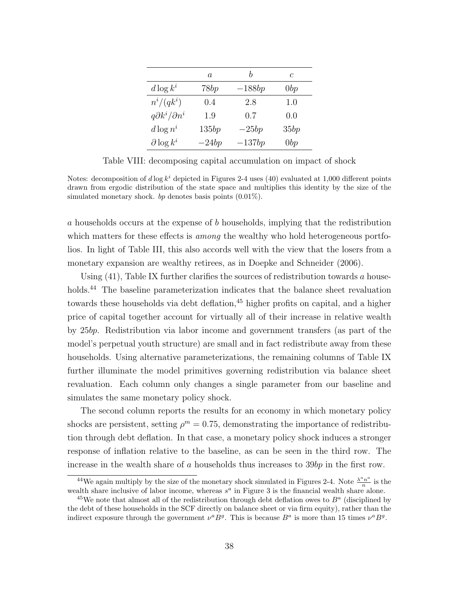|                              | $\alpha$ |          | C    |
|------------------------------|----------|----------|------|
| $d \log k^i$                 | 78bp     | $-188bp$ | 0bp  |
| $n^i/(qk^i)$                 | 0.4      | 2.8      | 1.0  |
| $q\partial k^i/\partial n^i$ | 1.9      | 0.7      | 0.0  |
| $d \log n^i$                 | 135bp    | $-25bp$  | 35bp |
| $\partial \log k^i$          | $-24bp$  | $-137bp$ | 0bp  |

<span id="page-38-0"></span>Table VIII: decomposing capital accumulation on impact of shock

Notes: decomposition of  $d \log k^i$  depicted in Figures [2](#page-34-0)[-4](#page-36-0) uses [\(40\)](#page-36-1) evaluated at 1,000 different points drawn from ergodic distribution of the state space and multiplies this identity by the size of the simulated monetary shock. by denotes basis points  $(0.01\%)$ .

a households occurs at the expense of b households, implying that the redistribution which matters for these effects is *among* the wealthy who hold heterogeneous portfolios. In light of Table [III,](#page-27-0) this also accords well with the view that the losers from a monetary expansion are wealthy retirees, as in [Doepke and Schneider](#page-42-1) [\(2006\)](#page-42-1).

Using  $(41)$ , Table [IX](#page-39-1) further clarifies the sources of redistribution towards a households.<sup>44</sup> The baseline parameterization indicates that the balance sheet revaluation towards these households via debt deflation,<sup>45</sup> higher profits on capital, and a higher price of capital together account for virtually all of their increase in relative wealth by 25bp. Redistribution via labor income and government transfers (as part of the model's perpetual youth structure) are small and in fact redistribute away from these households. Using alternative parameterizations, the remaining columns of Table [IX](#page-39-1) further illuminate the model primitives governing redistribution via balance sheet revaluation. Each column only changes a single parameter from our baseline and simulates the same monetary policy shock.

The second column reports the results for an economy in which monetary policy shocks are persistent, setting  $\rho^m = 0.75$ , demonstrating the importance of redistribution through debt deflation. In that case, a monetary policy shock induces a stronger response of inflation relative to the baseline, as can be seen in the third row. The increase in the wealth share of  $a$  households thus increases to  $39bp$  in the first row.

<sup>&</sup>lt;sup>44</sup>We again multiply by the size of the monetary shock simulated in Figures [2-](#page-34-0)[4.](#page-36-0) Note  $\frac{\lambda^a n^a}{n}$  $\frac{n^{\alpha}}{n}$  is the wealth share inclusive of labor income, whereas  $s^a$  in Figure [3](#page-35-0) is the financial wealth share alone.

<sup>&</sup>lt;sup>45</sup>We note that almost all of the redistribution through debt deflation owes to  $B<sup>a</sup>$  (disciplined by the debt of these households in the SCF directly on balance sheet or via firm equity), rather than the indirect exposure through the government  $\nu^a B^g$ . This is because  $B^a$  is more than 15 times  $\nu^a B^g$ .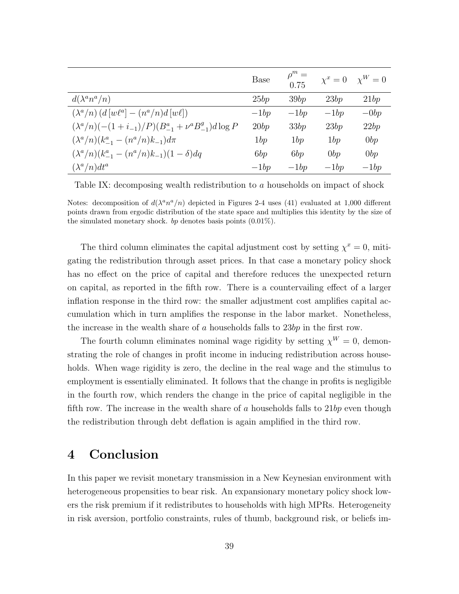|                                                                  | Base   | $\rho^m =$<br>0.75 | $\chi^x=0$ | $\chi^W=0$     |
|------------------------------------------------------------------|--------|--------------------|------------|----------------|
| $d(\lambda^a n^a/n)$                                             | 25bp   | 39bp               | 23bp       | 21bp           |
| $(\lambda^a/n)$ $(d[w\ell^a] - (n^a/n)d[w\ell])$                 | $-1bp$ | $-1bp$             | $-1bp$     | $-\frac{0}{b}$ |
| $(\lambda^a/n)(-(1+i_{-1})/P)(B_{-1}^a + \nu^a B_{-1}^g)d\log P$ | 20bp   | 33bp               | 23bp       | 22bp           |
| $(\lambda^a/n)(k_{-1}^a - (n^a/n)k_{-1})d\pi$                    | 1bp    | 1bp                | 1bp        | 0bp            |
| $(\lambda^a/n)(k_{-1}^a - (n^a/n)k_{-1})(1-\delta)dq$            | 6bp    | 6bp                | 0bp        | 0bp            |
| $(\lambda^a/n)dt^a$                                              | $-1bp$ | $-1bp$             | $-1bp$     | $-1bp$         |

<span id="page-39-1"></span>Table IX: decomposing wealth redistribution to a households on impact of shock

Notes: decomposition of  $d(\lambda^a n^a/n)$  depicted in Figures [2](#page-34-0)[-4](#page-36-0) uses [\(41\)](#page-37-1) evaluated at 1,000 different points drawn from ergodic distribution of the state space and multiplies this identity by the size of the simulated monetary shock. bp denotes basis points  $(0.01\%)$ .

The third column eliminates the capital adjustment cost by setting  $\chi^x = 0$ , mitigating the redistribution through asset prices. In that case a monetary policy shock has no effect on the price of capital and therefore reduces the unexpected return on capital, as reported in the fifth row. There is a countervailing effect of a larger inflation response in the third row: the smaller adjustment cost amplifies capital accumulation which in turn amplifies the response in the labor market. Nonetheless, the increase in the wealth share of  $a$  households falls to  $23bp$  in the first row.

The fourth column eliminates nominal wage rigidity by setting  $\chi^W = 0$ , demonstrating the role of changes in profit income in inducing redistribution across households. When wage rigidity is zero, the decline in the real wage and the stimulus to employment is essentially eliminated. It follows that the change in profits is negligible in the fourth row, which renders the change in the price of capital negligible in the fifth row. The increase in the wealth share of a households falls to  $21bp$  even though the redistribution through debt deflation is again amplified in the third row.

# <span id="page-39-0"></span>4 Conclusion

In this paper we revisit monetary transmission in a New Keynesian environment with heterogeneous propensities to bear risk. An expansionary monetary policy shock lowers the risk premium if it redistributes to households with high MPRs. Heterogeneity in risk aversion, portfolio constraints, rules of thumb, background risk, or beliefs im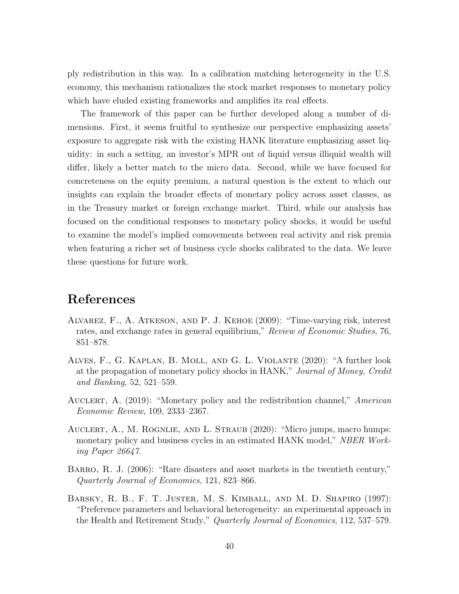ply redistribution in this way. In a calibration matching heterogeneity in the U.S. economy, this mechanism rationalizes the stock market responses to monetary policy which have eluded existing frameworks and amplifies its real effects.

The framework of this paper can be further developed along a number of dimensions. First, it seems fruitful to synthesize our perspective emphasizing assets' exposure to aggregate risk with the existing HANK literature emphasizing asset liquidity: in such a setting, an investor's MPR out of liquid versus illiquid wealth will differ, likely a better match to the micro data. Second, while we have focused for concreteness on the equity premium, a natural question is the extent to which our insights can explain the broader effects of monetary policy across asset classes, as in the Treasury market or foreign exchange market. Third, while our analysis has focused on the conditional responses to monetary policy shocks, it would be useful to examine the model's implied comovements between real activity and risk premia when featuring a richer set of business cycle shocks calibrated to the data. We leave these questions for future work.

# References

- <span id="page-40-3"></span>Alvarez, F., A. Atkeson, and P. J. Kehoe (2009): "Time-varying risk, interest rates, and exchange rates in general equilibrium," Review of Economic Studies, 76, 851–878.
- <span id="page-40-1"></span>Alves, F., G. Kaplan, B. Moll, and G. L. Violante (2020): "A further look at the propagation of monetary policy shocks in HANK," Journal of Money, Credit and Banking, 52, 521–559.
- <span id="page-40-0"></span>AUCLERT, A. (2019): "Monetary policy and the redistribution channel," American Economic Review, 109, 2333–2367.
- <span id="page-40-2"></span>Auclert, A., M. Rognlie, and L. Straub (2020): "Micro jumps, macro humps: monetary policy and business cycles in an estimated HANK model," NBER Working Paper 26647.
- <span id="page-40-4"></span>BARRO, R. J. (2006): "Rare disasters and asset markets in the twentieth century," Quarterly Journal of Economics, 121, 823–866.
- <span id="page-40-5"></span>Barsky, R. B., F. T. Juster, M. S. Kimball, and M. D. Shapiro (1997): "Preference parameters and behavioral heterogeneity: an experimental approach in the Health and Retirement Study," Quarterly Journal of Economics, 112, 537–579.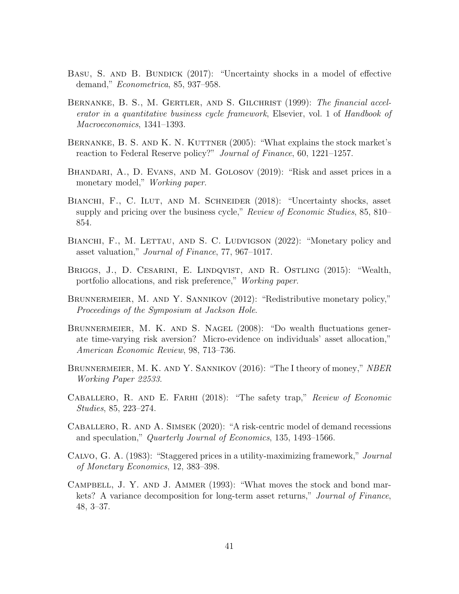- <span id="page-41-7"></span>BASU, S. AND B. BUNDICK (2017): "Uncertainty shocks in a model of effective demand," Econometrica, 85, 937–958.
- <span id="page-41-1"></span>BERNANKE, B. S., M. GERTLER, AND S. GILCHRIST (1999): The financial accelerator in a quantitative business cycle framework, Elsevier, vol. 1 of Handbook of Macroeconomics, 1341–1393.
- <span id="page-41-0"></span>BERNANKE, B. S. AND K. N. KUTTNER (2005): "What explains the stock market's reaction to Federal Reserve policy?" Journal of Finance, 60, 1221–1257.
- <span id="page-41-2"></span>Bhandari, A., D. Evans, and M. Golosov (2019): "Risk and asset prices in a monetary model," *Working paper.*
- <span id="page-41-10"></span>BIANCHI, F., C. ILUT, AND M. SCHNEIDER (2018): "Uncertainty shocks, asset supply and pricing over the business cycle," Review of Economic Studies, 85, 810– 854.
- <span id="page-41-8"></span>BIANCHI, F., M. LETTAU, AND S. C. LUDVIGSON (2022): "Monetary policy and asset valuation," Journal of Finance, 77, 967–1017.
- <span id="page-41-12"></span>Briggs, J., D. Cesarini, E. Lindqvist, and R. Ostling (2015): "Wealth, portfolio allocations, and risk preference," Working paper.
- <span id="page-41-5"></span>BRUNNERMEIER, M. AND Y. SANNIKOV (2012): "Redistributive monetary policy," Proceedings of the Symposium at Jackson Hole.
- <span id="page-41-13"></span>BRUNNERMEIER, M. K. AND S. NAGEL (2008): "Do wealth fluctuations generate time-varying risk aversion? Micro-evidence on individuals' asset allocation," American Economic Review, 98, 713–736.
- <span id="page-41-6"></span>BRUNNERMEIER, M. K. AND Y. SANNIKOV (2016): "The I theory of money," NBER Working Paper 22533.
- <span id="page-41-3"></span>CABALLERO, R. AND E. FARHI (2018): "The safety trap," Review of Economic Studies, 85, 223–274.
- <span id="page-41-4"></span>Caballero, R. and A. Simsek (2020): "A risk-centric model of demand recessions and speculation," Quarterly Journal of Economics, 135, 1493–1566.
- <span id="page-41-11"></span>Calvo, G. A. (1983): "Staggered prices in a utility-maximizing framework," Journal of Monetary Economics, 12, 383–398.
- <span id="page-41-9"></span>Campbell, J. Y. and J. Ammer (1993): "What moves the stock and bond markets? A variance decomposition for long-term asset returns," Journal of Finance, 48, 3–37.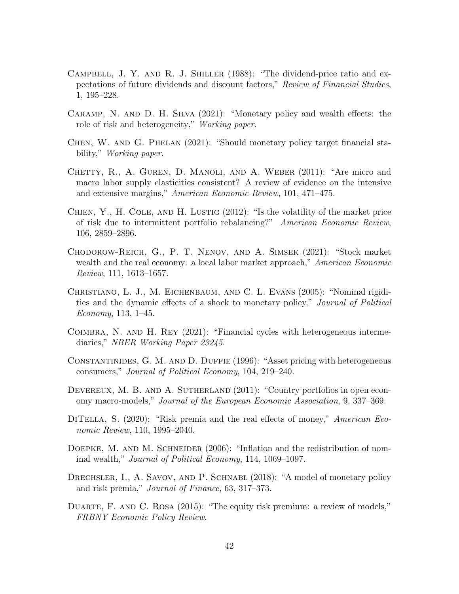- <span id="page-42-0"></span>CAMPBELL, J. Y. AND R. J. SHILLER (1988): "The dividend-price ratio and expectations of future dividends and discount factors," Review of Financial Studies, 1, 195–228.
- <span id="page-42-12"></span>Caramp, N. and D. H. Silva (2021): "Monetary policy and wealth effects: the role of risk and heterogeneity," Working paper.
- <span id="page-42-5"></span>Chen, W. and G. Phelan (2021): "Should monetary policy target financial stability," *Working paper.*
- <span id="page-42-10"></span>CHETTY, R., A. GUREN, D. MANOLI, AND A. WEBER (2011): "Are micro and macro labor supply elasticities consistent? A review of evidence on the intensive and extensive margins," American Economic Review, 101, 471–475.
- <span id="page-42-2"></span>CHIEN, Y., H. COLE, AND H. LUSTIG  $(2012)$ : "Is the volatility of the market price of risk due to intermittent portfolio rebalancing?" American Economic Review, 106, 2859–2896.
- <span id="page-42-7"></span>Chodorow-Reich, G., P. T. Nenov, and A. Simsek (2021): "Stock market wealth and the real economy: a local labor market approach," American Economic Review, 111, 1613–1657.
- <span id="page-42-13"></span>Christiano, L. J., M. Eichenbaum, and C. L. Evans (2005): "Nominal rigidities and the dynamic effects of a shock to monetary policy," Journal of Political Economy, 113, 1–45.
- <span id="page-42-6"></span>Coimbra, N. and H. Rey (2021): "Financial cycles with heterogeneous intermediaries," NBER Working Paper 23245.
- <span id="page-42-3"></span>Constantinides, G. M. and D. Duffie (1996): "Asset pricing with heterogeneous consumers," Journal of Political Economy, 104, 219–240.
- <span id="page-42-9"></span>DEVEREUX, M. B. AND A. SUTHERLAND (2011): "Country portfolios in open economy macro-models," Journal of the European Economic Association, 9, 337–369.
- <span id="page-42-8"></span>DITELLA, S. (2020): "Risk premia and the real effects of money," *American Eco*nomic Review, 110, 1995–2040.
- <span id="page-42-1"></span>DOEPKE, M. AND M. SCHNEIDER (2006): "Inflation and the redistribution of nominal wealth," Journal of Political Economy, 114, 1069–1097.
- <span id="page-42-4"></span>DRECHSLER, I., A. SAVOV, AND P. SCHNABL (2018): "A model of monetary policy and risk premia," Journal of Finance, 63, 317–373.
- <span id="page-42-11"></span>DUARTE, F. AND C. ROSA (2015): "The equity risk premium: a review of models," FRBNY Economic Policy Review.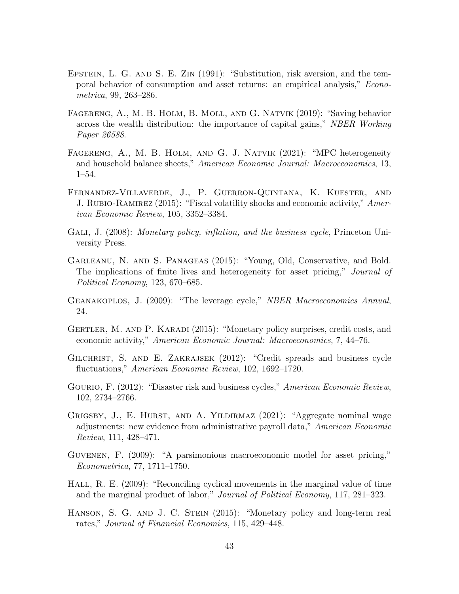- <span id="page-43-1"></span>EPSTEIN, L. G. AND S. E. ZIN (1991): "Substitution, risk aversion, and the temporal behavior of consumption and asset returns: an empirical analysis," Econometrica, 99, 263–286.
- <span id="page-43-13"></span>Fagereng, A., M. B. Holm, B. Moll, and G. Natvik (2019): "Saving behavior across the wealth distribution: the importance of capital gains," NBER Working Paper 26588.
- <span id="page-43-12"></span>FAGERENG, A., M. B. HOLM, AND G. J. NATVIK (2021): "MPC heterogeneity and household balance sheets," American Economic Journal: Macroeconomics, 13, 1–54.
- <span id="page-43-7"></span>Fernandez-Villaverde, J., P. Guerron-Quintana, K. Kuester, and J. RUBIO-RAMIREZ (2015): "Fiscal volatility shocks and economic activity," American Economic Review, 105, 3352–3384.
- <span id="page-43-0"></span>GALI, J. (2008): Monetary policy, inflation, and the business cycle, Princeton University Press.
- <span id="page-43-4"></span>Garleanu, N. and S. Panageas (2015): "Young, Old, Conservative, and Bold. The implications of finite lives and heterogeneity for asset pricing," *Journal of* Political Economy, 123, 670–685.
- <span id="page-43-5"></span>Geanakoplos, J. (2009): "The leverage cycle," NBER Macroeconomics Annual, 24.
- <span id="page-43-3"></span>GERTLER, M. AND P. KARADI (2015): "Monetary policy surprises, credit costs, and economic activity," American Economic Journal: Macroeconomics, 7, 44–76.
- <span id="page-43-6"></span>Gilchrist, S. and E. Zakrajsek (2012): "Credit spreads and business cycle fluctuations," American Economic Review, 102, 1692–1720.
- <span id="page-43-8"></span>GOURIO, F. (2012): "Disaster risk and business cycles," American Economic Review, 102, 2734–2766.
- <span id="page-43-10"></span>GRIGSBY, J., E. HURST, AND A. YILDIRMAZ (2021): "Aggregate nominal wage adjustments: new evidence from administrative payroll data," American Economic Review, 111, 428–471.
- <span id="page-43-9"></span>Guvenen, F. (2009): "A parsimonious macroeconomic model for asset pricing," Econometrica, 77, 1711–1750.
- <span id="page-43-11"></span>HALL, R. E. (2009): "Reconciling cyclical movements in the marginal value of time and the marginal product of labor," Journal of Political Economy, 117, 281–323.
- <span id="page-43-2"></span>Hanson, S. G. and J. C. Stein (2015): "Monetary policy and long-term real rates," Journal of Financial Economics, 115, 429–448.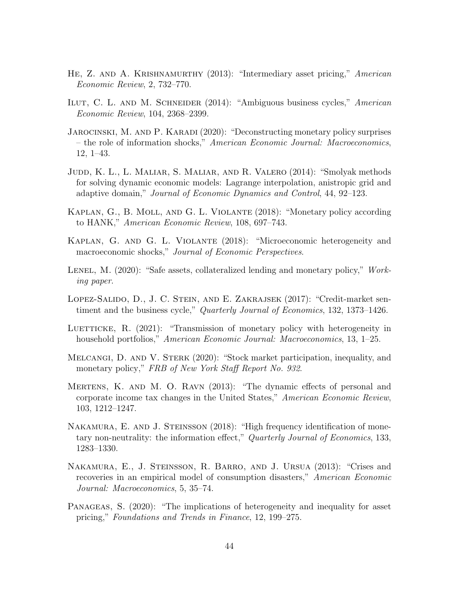- <span id="page-44-4"></span>HE, Z. AND A. KRISHNAMURTHY (2013): "Intermediary asset pricing," American Economic Review, 2, 732–770.
- <span id="page-44-6"></span>ILUT, C. L. AND M. SCHNEIDER (2014): "Ambiguous business cycles," American Economic Review, 104, 2368–2399.
- <span id="page-44-9"></span>JAROCINSKI, M. AND P. KARADI (2020): "Deconstructing monetary policy surprises – the role of information shocks," American Economic Journal: Macroeconomics, 12, 1–43.
- <span id="page-44-12"></span>Judd, K. L., L. Maliar, S. Maliar, and R. Valero (2014): "Smolyak methods for solving dynamic economic models: Lagrange interpolation, anistropic grid and adaptive domain," Journal of Economic Dynamics and Control, 44, 92–123.
- <span id="page-44-1"></span>KAPLAN, G., B. MOLL, AND G. L. VIOLANTE (2018): "Monetary policy according to HANK," American Economic Review, 108, 697–743.
- <span id="page-44-0"></span>Kaplan, G. and G. L. Violante (2018): "Microeconomic heterogeneity and macroeconomic shocks," Journal of Economic Perspectives.
- <span id="page-44-11"></span>LENEL, M.  $(2020)$ : "Safe assets, collateralized lending and monetary policy," Working paper.
- <span id="page-44-7"></span>Lopez-Salido, D., J. C. Stein, and E. Zakrajsek (2017): "Credit-market sentiment and the business cycle," Quarterly Journal of Economics, 132, 1373–1426.
- <span id="page-44-2"></span>LUETTICKE, R. (2021): "Transmission of monetary policy with heterogeneity in household portfolios," American Economic Journal: Macroeconomics, 13, 1–25.
- <span id="page-44-3"></span>Melcangi, D. and V. Sterk (2020): "Stock market participation, inequality, and monetary policy," FRB of New York Staff Report No. 932.
- <span id="page-44-10"></span>Mertens, K. and M. O. Ravn (2013): "The dynamic effects of personal and corporate income tax changes in the United States," American Economic Review, 103, 1212–1247.
- <span id="page-44-8"></span>NAKAMURA, E. AND J. STEINSSON (2018): "High frequency identification of monetary non-neutrality: the information effect," Quarterly Journal of Economics, 133, 1283–1330.
- <span id="page-44-13"></span>Nakamura, E., J. Steinsson, R. Barro, and J. Ursua (2013): "Crises and recoveries in an empirical model of consumption disasters," American Economic Journal: Macroeconomics, 5, 35–74.
- <span id="page-44-5"></span>Panageas, S. (2020): "The implications of heterogeneity and inequality for asset pricing," Foundations and Trends in Finance, 12, 199–275.